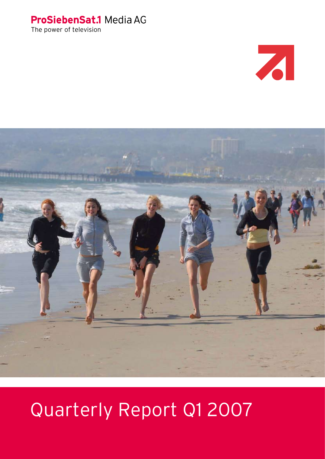## ProSiebenSat.1 Media AG

The power of television





# Quarterly Report Q1 2007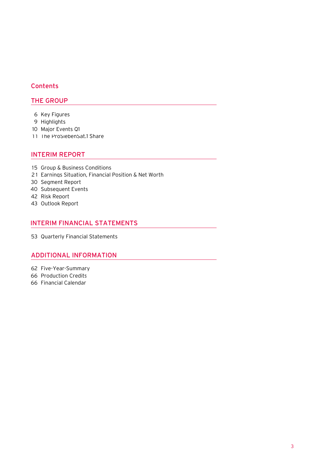## **Contents**

## THE GROUP

- [Key Figures](#page-4-0)
- [Highlights](#page-7-0)
- [Major Events Q1](#page-8-0)
- [The ProSiebenSat.1 Share](#page-9-0)

## INTERIM REPORT

- [Group & Business Conditions](#page-13-0)
- 21 Earnings Situation, Financial Position & Net Worth
- [Segment Report](#page-28-0)
- [Subsequent Events](#page-38-0)
- [Risk Report](#page-40-0)
- [Outlook Report](#page-41-0)

## INTERIM FINANCIAL STATEMENTS

[Quarterly Financial Statements](#page-51-0)

## ADDITIONAL INFORMATION

- [Five-Year-Summary](#page-60-0)
- [Production Credits](#page-64-0)
- Financial Calendar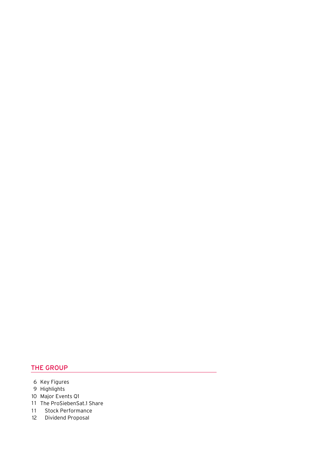- 6 Key Figures
- 9 Highlights
- 10 Major Events Q1
- 11 The ProSiebenSat.1 Share
- 11 Stock Performance
- 12 Dividend Proposal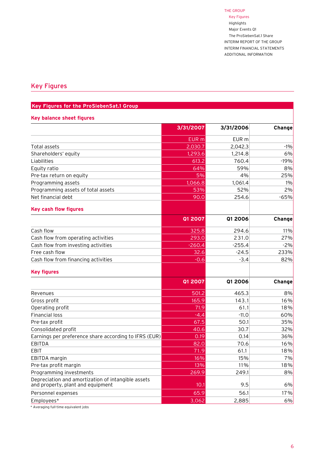Key Figures Highlights Major Events Q1 The ProSiebenSat.1 Share INTERIM REPORT of THE GROUP INTERIM FINANCIAL STATEMENTS ADDITIONAL INFORMATION

## <span id="page-4-0"></span>Key Figures

## **Key Figures for the ProSiebenSat.1 Group**

#### **Key balance sheet figures**

| EUR <sub>m</sub><br>EUR m<br>2,030.7<br>2,042.3<br>$-1%$<br>Total assets<br>1,293.6<br>6%<br>1.214.8<br>Shareholders' equity<br>760.4<br>$-19%$<br>613.2<br>64%<br>59%<br>8%<br>Equity ratio<br>5%<br>4%<br>25%<br>1.066.8<br>1.061.4<br>$1\%$<br>53%<br>52%<br>2%<br>90.0<br>254.6<br>$-65%$<br><b>Key cash flow figures</b><br>Q1 2007<br>Q1 2006<br>Change<br>325.8<br>294.6<br>11%<br>293.0<br>231.0<br>27%<br>$-260.4$<br>$-2%$<br>$-255.4$<br>233%<br>32.6<br>$-24.5$<br>$-3.4$<br>82%<br>$-0.6$<br><b>Key figures</b><br>Q1 2007<br><b>Q1 2006</b><br><b>Change</b><br>501.2<br>465.3<br>8%<br>165.9<br>16%<br>143.1<br>61.1<br>18%<br>71.9<br>$-4.4$<br>60%<br>$-11.0$<br>35%<br>50.1<br>67.5<br>30.7<br>32%<br>40.6<br>36%<br>0.19<br>0.14<br>16%<br>82.0<br>70.6<br>18%<br>71.9<br>61.1<br>16%<br>15%<br>7%<br>11%<br>13%<br>18%<br>269.9<br>249.1<br>8%<br>9.5<br>6%<br>10.1<br>65.9<br>56.1<br>17%<br>3,062<br>6%<br>2,885 |                                                                                         | 3/31/2007 | 3/31/2006 | Change |
|----------------------------------------------------------------------------------------------------------------------------------------------------------------------------------------------------------------------------------------------------------------------------------------------------------------------------------------------------------------------------------------------------------------------------------------------------------------------------------------------------------------------------------------------------------------------------------------------------------------------------------------------------------------------------------------------------------------------------------------------------------------------------------------------------------------------------------------------------------------------------------------------------------------------------------------|-----------------------------------------------------------------------------------------|-----------|-----------|--------|
|                                                                                                                                                                                                                                                                                                                                                                                                                                                                                                                                                                                                                                                                                                                                                                                                                                                                                                                                        |                                                                                         |           |           |        |
|                                                                                                                                                                                                                                                                                                                                                                                                                                                                                                                                                                                                                                                                                                                                                                                                                                                                                                                                        |                                                                                         |           |           |        |
|                                                                                                                                                                                                                                                                                                                                                                                                                                                                                                                                                                                                                                                                                                                                                                                                                                                                                                                                        |                                                                                         |           |           |        |
|                                                                                                                                                                                                                                                                                                                                                                                                                                                                                                                                                                                                                                                                                                                                                                                                                                                                                                                                        | Liabilities                                                                             |           |           |        |
|                                                                                                                                                                                                                                                                                                                                                                                                                                                                                                                                                                                                                                                                                                                                                                                                                                                                                                                                        |                                                                                         |           |           |        |
|                                                                                                                                                                                                                                                                                                                                                                                                                                                                                                                                                                                                                                                                                                                                                                                                                                                                                                                                        | Pre-tax return on equity                                                                |           |           |        |
|                                                                                                                                                                                                                                                                                                                                                                                                                                                                                                                                                                                                                                                                                                                                                                                                                                                                                                                                        | Programming assets                                                                      |           |           |        |
|                                                                                                                                                                                                                                                                                                                                                                                                                                                                                                                                                                                                                                                                                                                                                                                                                                                                                                                                        | Programming assets of total assets                                                      |           |           |        |
|                                                                                                                                                                                                                                                                                                                                                                                                                                                                                                                                                                                                                                                                                                                                                                                                                                                                                                                                        | Net financial debt                                                                      |           |           |        |
|                                                                                                                                                                                                                                                                                                                                                                                                                                                                                                                                                                                                                                                                                                                                                                                                                                                                                                                                        |                                                                                         |           |           |        |
|                                                                                                                                                                                                                                                                                                                                                                                                                                                                                                                                                                                                                                                                                                                                                                                                                                                                                                                                        |                                                                                         |           |           |        |
|                                                                                                                                                                                                                                                                                                                                                                                                                                                                                                                                                                                                                                                                                                                                                                                                                                                                                                                                        | Cash flow                                                                               |           |           |        |
|                                                                                                                                                                                                                                                                                                                                                                                                                                                                                                                                                                                                                                                                                                                                                                                                                                                                                                                                        | Cash flow from operating activities                                                     |           |           |        |
|                                                                                                                                                                                                                                                                                                                                                                                                                                                                                                                                                                                                                                                                                                                                                                                                                                                                                                                                        | Cash flow from investing activities                                                     |           |           |        |
|                                                                                                                                                                                                                                                                                                                                                                                                                                                                                                                                                                                                                                                                                                                                                                                                                                                                                                                                        | Free cash flow                                                                          |           |           |        |
|                                                                                                                                                                                                                                                                                                                                                                                                                                                                                                                                                                                                                                                                                                                                                                                                                                                                                                                                        | Cash flow from financing activities                                                     |           |           |        |
|                                                                                                                                                                                                                                                                                                                                                                                                                                                                                                                                                                                                                                                                                                                                                                                                                                                                                                                                        |                                                                                         |           |           |        |
|                                                                                                                                                                                                                                                                                                                                                                                                                                                                                                                                                                                                                                                                                                                                                                                                                                                                                                                                        |                                                                                         |           |           |        |
|                                                                                                                                                                                                                                                                                                                                                                                                                                                                                                                                                                                                                                                                                                                                                                                                                                                                                                                                        | Revenues                                                                                |           |           |        |
|                                                                                                                                                                                                                                                                                                                                                                                                                                                                                                                                                                                                                                                                                                                                                                                                                                                                                                                                        | Gross profit                                                                            |           |           |        |
|                                                                                                                                                                                                                                                                                                                                                                                                                                                                                                                                                                                                                                                                                                                                                                                                                                                                                                                                        | Operating profit                                                                        |           |           |        |
|                                                                                                                                                                                                                                                                                                                                                                                                                                                                                                                                                                                                                                                                                                                                                                                                                                                                                                                                        | <b>Financial loss</b>                                                                   |           |           |        |
|                                                                                                                                                                                                                                                                                                                                                                                                                                                                                                                                                                                                                                                                                                                                                                                                                                                                                                                                        | Pre-tax profit                                                                          |           |           |        |
|                                                                                                                                                                                                                                                                                                                                                                                                                                                                                                                                                                                                                                                                                                                                                                                                                                                                                                                                        | Consolidated profit                                                                     |           |           |        |
|                                                                                                                                                                                                                                                                                                                                                                                                                                                                                                                                                                                                                                                                                                                                                                                                                                                                                                                                        | Earnings per preference share according to IFRS (EUR)                                   |           |           |        |
|                                                                                                                                                                                                                                                                                                                                                                                                                                                                                                                                                                                                                                                                                                                                                                                                                                                                                                                                        | <b>EBITDA</b>                                                                           |           |           |        |
|                                                                                                                                                                                                                                                                                                                                                                                                                                                                                                                                                                                                                                                                                                                                                                                                                                                                                                                                        | <b>EBIT</b>                                                                             |           |           |        |
|                                                                                                                                                                                                                                                                                                                                                                                                                                                                                                                                                                                                                                                                                                                                                                                                                                                                                                                                        | EBITDA margin                                                                           |           |           |        |
|                                                                                                                                                                                                                                                                                                                                                                                                                                                                                                                                                                                                                                                                                                                                                                                                                                                                                                                                        | Pre-tax profit margin                                                                   |           |           |        |
|                                                                                                                                                                                                                                                                                                                                                                                                                                                                                                                                                                                                                                                                                                                                                                                                                                                                                                                                        | Programming investments                                                                 |           |           |        |
|                                                                                                                                                                                                                                                                                                                                                                                                                                                                                                                                                                                                                                                                                                                                                                                                                                                                                                                                        | Depreciation and amortization of intangible assets<br>and property, plant and equipment |           |           |        |
|                                                                                                                                                                                                                                                                                                                                                                                                                                                                                                                                                                                                                                                                                                                                                                                                                                                                                                                                        | Personnel expenses                                                                      |           |           |        |
|                                                                                                                                                                                                                                                                                                                                                                                                                                                                                                                                                                                                                                                                                                                                                                                                                                                                                                                                        | Employees*                                                                              |           |           |        |

\* Averaging full-time equivalent jobs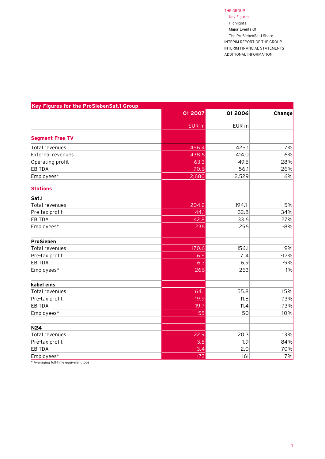Key Figures Highlights Major Events Q1 The ProSiebenSat.1 Share INTERIM REPORT of THE GROUP INTERIM FINANCIAL STATEMENTS ADDITIONAL INFORMATION

| Key Figures for the ProSiebenSat.1 Group |                |         |        |
|------------------------------------------|----------------|---------|--------|
|                                          | <b>Q1 2007</b> | Q1 2006 | Change |
|                                          | EUR m          | EUR m   |        |
| <b>Segment Free TV</b>                   |                |         |        |
| Total revenues                           | 456.4          | 425.1   | 7%     |
| External revenues                        | 438.6          | 414.0   | 6%     |
| Operating profit                         | 63.3           | 49.5    | 28%    |
| <b>EBITDA</b>                            | 70.6           | 56.1    | 26%    |
| Employees*                               | 2,680          | 2,529   | 6%     |
| <b>Stations</b>                          |                |         |        |
| Sat.1                                    |                |         |        |
| Total revenues                           | 204.2          | 194.1   | 5%     |
| Pre-tax profit                           | 44.1           | 32.8    | 34%    |
| <b>EBITDA</b>                            | 42.8           | 33.6    | 27%    |
| Employees*                               | 236            | 256     | $-8%$  |
| <b>ProSieben</b>                         |                |         |        |
| Total revenues                           | 170.6          | 156.1   | 9%     |
| Pre-tax profit                           | 6.5            | 7.4     | $-12%$ |
| <b>EBITDA</b>                            | 6.3            | 6.9     | $-9%$  |
| Employees*                               | 266            | 263     | 1%     |
| kabel eins                               |                |         |        |
| Total revenues                           | 64.1           | 55.8    | 15%    |
| Pre-tax profit                           | 19.9           | 11.5    | 73%    |
| <b>EBITDA</b>                            | 19.7           | 11.4    | 73%    |
| Employees*                               | 55             | 50      | 10%    |
| <b>N24</b>                               |                |         |        |
| Total revenues                           | 22.9           | 20.3    | 13%    |
| Pre-tax profit                           | 3.5            | 1.9     | 84%    |
| <b>EBITDA</b>                            | 3.4            | 2.0     | 70%    |
| Employees*                               | 173            | 161     | 7%     |

\* Averaging full-time equivalent jobs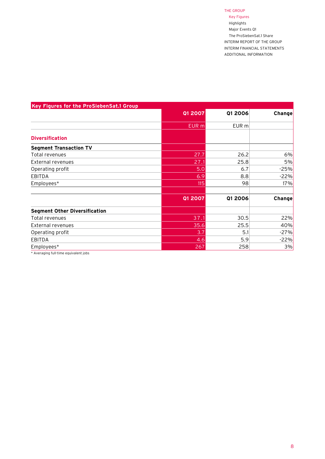Key Figures Highlights Major Events Q1 The ProSiebenSat.1 Share INTERIM REPORT of THE GROUP INTERIM FINANCIAL STATEMENTS ADDITIONAL INFORMATION

| Key Figures for the ProSiebenSat.1 Group |                |         |        |
|------------------------------------------|----------------|---------|--------|
|                                          | <b>Q1 2007</b> | Q1 2006 | Change |
|                                          | EUR m          | EUR m   |        |
| <b>Diversification</b>                   |                |         |        |
| <b>Segment Transaction TV</b>            |                |         |        |
| Total revenues                           | 27.7           | 26.2    | 6%     |
| External revenues                        | 27.1           | 25.8    | 5%     |
| Operating profit                         | 5.0            | 6.7     | $-25%$ |
| <b>EBITDA</b>                            | 6.9            | 8.8     | $-22%$ |
| Employees*                               | 115            | 98      | 17%    |
|                                          | <b>Q1 2007</b> | Q1 2006 | Change |
| <b>Segment Other Diversification</b>     |                |         |        |
| Total revenues                           | 37.1           | 30.5    | 22%    |
| External revenues                        | 35.6           | 25.5    | 40%    |
| Operating profit                         | 3.7            | 5.1     | $-27%$ |
| <b>EBITDA</b>                            | 4.6            | 5.9     | $-22%$ |
| Employees*                               | 267            | 258     | 3%     |
| .<br>$\sim$ $\sim$ $\sim$ $\sim$         |                |         |        |

\* Averaging full-time equivalent jobs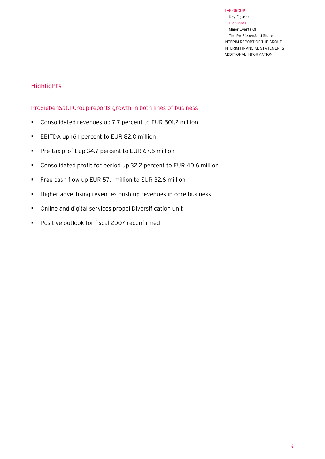Key Figures Highlights Major Events Q1 The ProSiebenSat.1 Share INTERIM REPORT of THE GROUP INTERIM FINANCIAL STATEMENTS ADDITIONAL INFORMATION

## <span id="page-7-0"></span>**Highlights**

## ProSiebenSat.1 Group reports growth in both lines of business

- Consolidated revenues up 7.7 percent to EUR 501.2 million
- EBITDA up 16.1 percent to EUR 82.0 million
- **Pre-tax profit up 34.7 percent to EUR 67.5 million**
- Consolidated profit for period up 32.2 percent to EUR 40.6 million
- Free cash flow up EUR 57.1 million to EUR 32.6 million
- Higher advertising revenues push up revenues in core business
- Online and digital services propel Diversification unit
- **Positive outlook for fiscal 2007 reconfirmed**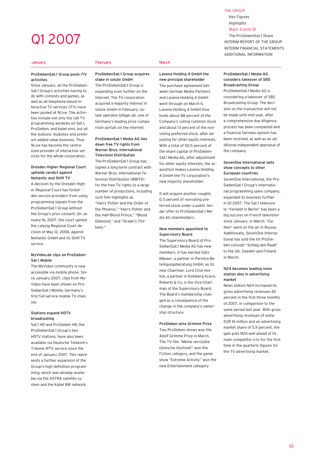## <span id="page-8-0"></span>Q1 2007

#### **January**

Ī

#### February March

#### ProSiebenSat.1 Group pools iTV activities

Since January, all the ProSieben-Sat.1 Group's activities having to do with contests and games, as well as all telephone-based interactive TV services (iTV) have been pooled at 9Live. The activities include not only the call TV programming windows on Sat.1, ProSieben, and kabel eins, but all the stations' Audiotex and premium added-value business. Thus 9Live has become the centralized provider of interactive services for the whole corporation.

#### Dresden Higher Regional Court upholds verdict against Netlantic and Shift TV

A decision by the Dresden Higher Regional Court has forbidden service providers from using programming signals from the ProSiebenSat.1 Group without the Group's prior consent. On January 16, 2007, the court upheld the Leipzig Regional Court decision of May 12, 2006, against Netlantic GmbH and its Shift TV service.

#### MyVideo.de clips on ProSieben-Sat.1 Mobile

The MyVideo community is now accessible via mobile phone. Since January 2007, clips from My-Video have been shown on Pro-SiebenSat.1 Mobile, Germany's first full-service mobile TV channel.

#### Stations expand HDTV broadcasting

Sat.1 HD and ProSieben HD, the ProSiebenSat.1 Group's two HDTV stations, have also been available via Deutsche Telekom's T-Home IPTV service since the end of January 2007. This represents a further expansion of the Group's high definition programming, which was already available via the ASTRA satellite system and the Kabel BW network.

ProSiebenSat.1 Group acquires stake in solute GmbH

The ProSiebenSat.1 Group is expanding even further on the Internet. The TV corporation acquired a majority interest in solute GmbH in February. solute operates billiger.de, one of Germany's leading price comparison portals on the Internet.

ProSiebenSat.1 Media AG ties down free TV rights from Warner Bros. International Television Distribution The ProSiebenSat.1 Group has signed a long-term contract with Warner Bros. International Television Distribution (WBITD) for the free TV rights to a large number of productions, including such film highlights as "Harry Potter and the Order of the Phoenix," "Harry Potter and the Half-Blood Prince," "Blood Diamond," and "Ocean's Thirteen."

#### Lavena Holding 4 GmbH the new principal shareholder

The purchase agreement between German Media Partners and Lavena Holding 4 GmbH went through on March 6. Lavena Holding 4 GmbH thus holds about 88 percent of the Company's voting common stock and about 13 percent of the nonvoting preferred stock, after adjusting for other equity interests. With a total of 50.5 percent of the share capital of ProSieben-Sat.1 Media AG, after adjustment for other equity interests, the acquisition makes Lavena Holding 4 GmbH the TV corporation's new majority shareholder.

It will acquire another roughly 0.3 percent of nonvoting preferred stock under a public tender offer to ProSiebenSat.1 Media AG shareholders.

#### New members appointed to Supervisory Board

The Supervisory Board of Pro-SiebenSat.1 Media AG has new members. It has elected Götz Mäuser, a partner in Permira Beteiligungsberatung GmbH, as its new Chairman. Lord Clive Hollick, a partner in Kohlberg Kravis Roberts & Co, is the Vice-Chairman of the Supervisory Board. The Board's membership changed as a consequence of the change in the company's ownership structure.

ProSieben wins Grimme Prize Two ProSieben shows won the Adolf Grimme Prize in March. The TV film "Meine verrückte türkische Hochzeit" won the Fiction category, and the game show "Extreme Activity" won the new Entertainment category.

#### ProSiebenSat.1 Media AG considers takeover of SBS Broadcasting Group

ProSiebenSat.1 Media AG is considering a takeover of SBS Broadcasting Group. The decision on the transaction will not be made until mid-year, after a comprehensive due diligence process has been completed and a financial fairness opinion has been received, as well as an additional independent appraisal of the company.

#### SevenOne International sells show concepts to other European countries

SevenOne International, the Pro-SiebenSat.1 Group's international programming sales company, expanded its business further in Q1 2007. The Sat.1 telenovela "Verliebt in Berlin" has been a big success on French television since January. In March, "Galileo" went on the air in Russia. Additionally, SevenOne International has sold the hit ProSieben concept "Schlag den Raab" to the UK, Sweden and Finland in March.

#### N24 becomes leading news station also in advertising market

News station N24 increased its gross advertising revenues 40 percent in the first three months of 2007, in comparison to the same period last year. With gross advertising revenues of some EUR 16 million and an advertising market share of 0.9 percent, the gain puts N24 well ahead of its main competitor n-tv for the first time in the quarterly figures for the TV advertising market.

#### THE GROUP

Key Figures Highlights Major Events Q1

The ProSiebenSat.1 Share INTERIM REPORT of THE GROUP INTERIM FINANCIAL STATEMENTS ADDITIONAL INFORMATION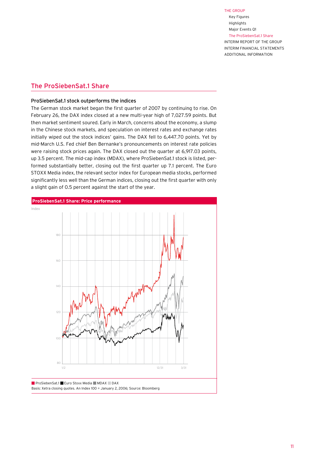Key Figures Highlights Major Events Q1 The ProSiebenSat.1 Share INTERIM REPORT of THE GROUP INTERIM FINANCIAL STATEMENTS ADDITIONAL INFORMATION

## <span id="page-9-0"></span>The ProSiebenSat.1 Share

#### ProSiebenSat.1 stock outperforms the indices

The German stock market began the first quarter of 2007 by continuing to rise. On February 26, the DAX index closed at a new multi-year high of 7,027.59 points. But then market sentiment soured. Early in March, concerns about the economy, a slump in the Chinese stock markets, and speculation on interest rates and exchange rates initially wiped out the stock indices' gains. The DAX fell to 6,447.70 points. Yet by mid-March U.S. Fed chief Ben Bernanke's pronouncements on interest rate policies were raising stock prices again. The DAX closed out the quarter at 6,917.03 points, up 3.5 percent. The mid-cap index (MDAX), where ProSiebenSat.1 stock is listed, perin the detection of the state of the first quarter up 7.1 percent. The Euro of the first detection of the first of the furo of the first detection of the furo of the furo of the furo of the furo of the furo of the furo of STOXX Media index, the relevant sector index for European media stocks, performed significantly less well than the German indices, closing out the first quarter with only a slight gain of 0.5 percent against the start of the year. 80

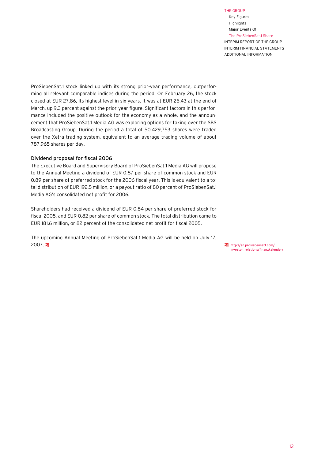Key Figures Highlights Major Events Q1 The ProSiebenSat.1 Share INTERIM REPORT of THE GROUP INTERIM FINANCIAL STATEMENTS ADDITIONAL INFORMATION

ProSiebenSat.1 stock linked up with its strong prior-year performance, outperforming all relevant comparable indices during the period. On February 26, the stock closed at EUR 27.86, its highest level in six years. It was at EUR 26.43 at the end of March, up 9.3 percent against the prior-year figure. Significant factors in this performance included the positive outlook for the economy as a whole, and the announcement that ProSiebenSat.1 Media AG was exploring options for taking over the SBS Broadcasting Group. During the period a total of 50,429,753 shares were traded over the Xetra trading system, equivalent to an average trading volume of about 787,965 shares per day.

#### Dividend proposal for fiscal 2006

The Executive Board and Supervisory Board of ProSiebenSat.1 Media AG will propose to the Annual Meeting a dividend of EUR 0.87 per share of common stock and EUR 0.89 per share of preferred stock for the 2006 fiscal year. This is equivalent to a total distribution of EUR 192.5 million, or a payout ratio of 80 percent of ProSiebenSat.1 Media AG's consolidated net profit for 2006.

Shareholders had received a dividend of EUR 0.84 per share of preferred stock for fiscal 2005, and EUR 0.82 per share of common stock. The total distribution came to EUR 181.6 million, or 82 percent of the consolidated net profit for fiscal 2005.

The upcoming Annual Meeting of ProSiebenSat.1 Media AG will be held on July 17, 2007. http://en.prosiebensat1.com/

[investor\\_relations/finanzkalender/](http://en.prosiebensat1.com/investor_relations/finanzkalender/)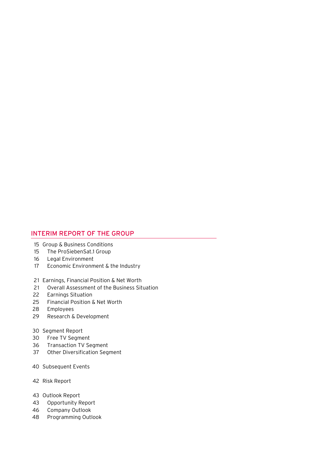## INTERIM REPORT OF THE GROUP

- 15 Group & Business Conditions
- The ProSiebenSat.1 Group 015
- Legal Environment 16
- Economic Environment & the Industry 017
- 21 Earnings, Financial Position & Net Worth
- Overall Assessment of the Business Situation 21
- Earnings Situation 22
- Financial Position & Net Worth 25
- Employees 28
- Research & Development 29

#### 30 Segment Report

- Free TV Segment 30
- Transaction TV Segment 36
- Other Diversification Segment 37
- 40 Subsequent Events
- 42 Risk Report
- 43 Outlook Report
- Opportunity Report 43
- Company Outlook 46
- Programming Outlook 48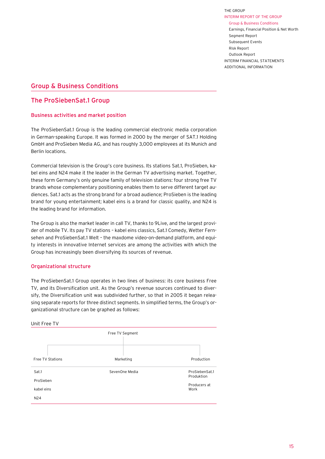THE GROUP INTERIM REPORT of THE GROUP Group & Business Conditions Earnings, Financial Position & Net Worth Segment Report Subsequent Events Risk Report

Outlook Report INTERIM FINANCIAL STATEMENTS ADDITIONAL INFORMATION

## <span id="page-13-0"></span>Group & Business Conditions

## The ProSiebenSat.1 Group

## Business activities and market position

The ProSiebenSat.1 Group is the leading commercial electronic media corporation in German-speaking Europe. It was formed in 2000 by the merger of SAT.1 Holding GmbH and ProSieben Media AG, and has roughly 3,000 employees at its Munich and Berlin locations.

Commercial television is the Group's core business. Its stations Sat.1, ProSieben, kabel eins and N24 make it the leader in the German TV advertising market. Together, these form Germany's only genuine family of television stations: four strong free TV brands whose complementary positioning enables them to serve different target audiences. Sat.1 acts as the strong brand for a broad audience; ProSieben is the leading brand for young entertainment; kabel eins is a brand for classic quality, and N24 is the leading brand for information.

The Group is also the market leader in call TV, thanks to 9Live, and the largest provider of mobile TV. Its pay TV stations – kabel eins classics, Sat.1 Comedy, Wetter Fernsehen and ProSiebenSat.1 Welt – the maxdome video-on-demand platform, and equity interests in innovative Internet services are among the activities with which the Group has increasingly been diversifying its sources of revenue.

## Organizational structure

The ProSiebenSat.1 Group operates in two lines of business: its core business Free TV, and its Diversification unit. As the Group's revenue sources continued to diversify, the Diversification unit was subdivided further, so that in 2005 it began releasing separate reports for three distinct segments. In simplified terms, the Group's organizational structure can be graphed as follows:

| Unit Free TV     |                 |                              |  |  |  |  |  |
|------------------|-----------------|------------------------------|--|--|--|--|--|
|                  | Free TV Segment |                              |  |  |  |  |  |
| Free TV Stations | Marketing       | Production                   |  |  |  |  |  |
| Sat.1            | SevenOne Media  | ProSiebenSat.1<br>Produktion |  |  |  |  |  |
| ProSieben        |                 | Producers at                 |  |  |  |  |  |
| kabel eins       |                 | Work                         |  |  |  |  |  |
| N24              |                 |                              |  |  |  |  |  |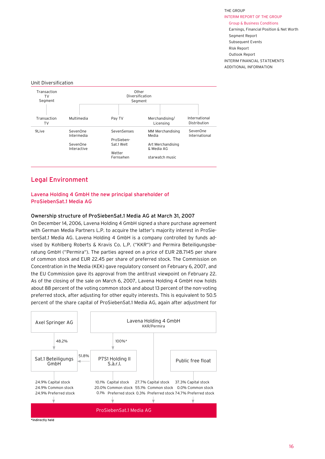THE GROUP INTERIM REPORT of THE GROUP Group & Business Conditions

Earnings, Financial Position & Net Worth Segment Report Subsequent Events Risk Report Outlook Report INTERIM FINANCIAL STATEMENTS ADDITIONAL INFORMATION

#### Unit Diversification



## Legal Environment

## Lavena Holding 4 GmbH the new principal shareholder of ProSiebenSat.1 Media AG

#### Ownership structure of ProSiebenSat.1 Media AG at March 31, 2007

On December 14, 2006, Lavena Holding 4 GmbH signed a share purchase agreement with German Media Partners L.P. to acquire the latter's majority interest in ProSiebenSat.1 Media AG. Lavena Holding 4 GmbH is a company controlled by funds advised by Kohlberg Roberts & Kravis Co. L.P. ("KKR") and Permira Beteiligungsberatung GmbH ("Permira"). The parties agreed on a price of EUR 28.7145 per share of common stock and EUR 22.45 per share of preferred stock. The Commission on Concentration in the Media (KEK) gave regulatory consent on February 6, 2007, and the EU Commission gave its approval from the antitrust viewpoint on February 22. As of the closing of the sale on March 6, 2007, Lavena Holding 4 GmbH now holds about 88 percent of the voting common stock and about 13 percent of the non-voting preferred stock, after adjusting for other equity interests. This is equivalent to 50.5 percent of the share capital of ProSiebenSat.1 Media AG, again after adjustment for

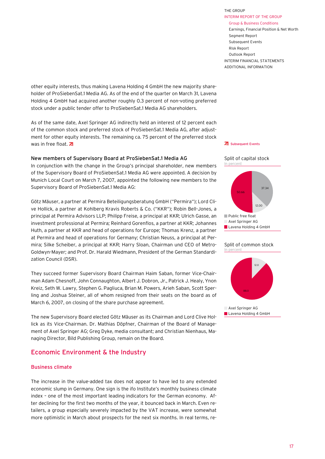INTERIM REPORT of THE GROUP Group & Business Conditions Earnings, Financial Position & Net Worth Segment Report Subsequent Events

THE GROUP

Risk Report Outlook Report INTERIM FINANCIAL STATEMENTS ADDITIONAL INFORMATION

<span id="page-15-0"></span>other equity interests, thus making Lavena Holding 4 GmbH the new majority shareholder of ProSiebenSat.1 Media AG. As of the end of the quarter on March 31, Lavena Holding 4 GmbH had acquired another roughly 0.3 percent of non-voting preferred stock under a public tender offer to ProSiebenSat.1 Media AG shareholders.

of the common stock and preferred stock of ProSiebenSat.1 Media AG, after adjust-As of the same date, Axel Springer AG indirectly held an interest of 12 percent each ment for other equity interests. The remaining ca. 75 percent of the preferred stock was in free float.  $\overline{z}$ 

#### New members of Supervisory Board at ProSiebenSat.1 Media AG

In conjunction with the change in the Group's principal shareholder, new members of the Supervisory Board of ProSiebenSat.1 Media AG were appointed. A decision by Munich Local Court on March 7, 2007, appointed the following new members to the Supervisory Board of ProSiebenSat.1 Media AG:

ve Hollick, a partner at Kohlberg Kravis Roberts & Co. ("KKR"); Robin Bell-Jones, a Goldwyn-Mayer; and Prof. Dr. Harald Wiedmann, President of the German Standardi-Götz Mäuser, a partner at Permira Beteiligungsberatung GmbH ("Permira"); Lord Cliprincipal at Permira Advisors LLP; Philipp Freise, a principal at KKR; Ulrich Gasse, an investment professional at Permira; Reinhard Gorenflos, a partner at KKR; Johannes Huth, a partner at KKR and head of operations for Europe; Thomas Krenz, a partner at Permira and head of operations for Germany; Christian Neuss, a principal at Permira; Silke Scheiber, a principal at KKR; Harry Sloan, Chairman und CEO of Metrozation Council (DSR).

They succeed former Supervisory Board Chairman Haim Saban, former Vice-Chairman Adam Chesnoff, John Connaughton, Albert J. Dobron, Jr., Patrick J. Healy, Ynon Kreiz, Seth W. Lawry, Stephen G. Pagliuca, Brian M. Powers, Arieh Saban, Scott Sperling and Joshua Steiner, all of whom resigned from their seats on the board as of March 6, 2007, on closing of the share purchase agreement.

The new Supervisory Board elected Götz Mäuser as its Chairman and Lord Clive Hollick as its Vice-Chairman. Dr. Mathias Döpfner, Chairman of the Board of Management of Axel Springer AG; Greg Dyke, media consultant; and Christian Nienhaus, Managing Director, Bild Publishing Group, remain on the Board.

## Economic Environment & the Industry

## Business climate

The increase in the value-added tax does not appear to have led to any extended economic slump in Germany. One sign is the ifo Institute's monthly business climate index – one of the most important leading indicators for the German economy. After declining for the first two months of the year, it bounced back in March. Even retailers, a group especially severely impacted by the VAT increase, were somewhat more optimistic in March about prospects for the next six months. In real terms, re-

#### **Z** [Subsequent Events](#page-38-0)



#### Split of common stock In percent 37.33



Axel Springer AG Lavena Holding 4 GmbH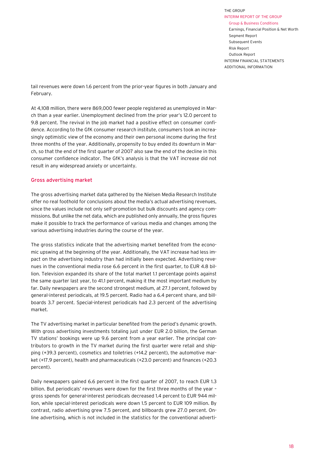tail revenues were down 1.6 percent from the prior-year figures in both January and February.

At 4,108 million, there were 869,000 fewer people registered as unemployed in March than a year earlier. Unemployment declined from the prior year's 12.0 percent to 9.8 percent. The revival in the job market had a positive effect on consumer confidence. According to the GfK consumer research institute, consumers took an increasingly optimistic view of the economy and their own personal income during the first three months of the year. Additionally, propensity to buy ended its downturn in March, so that the end of the first quarter of 2007 also saw the end of the decline in this consumer confidence indicator. The GfK's analysis is that the VAT increase did not result in any widespread anxiety or uncertainty.

#### Gross advertising market

The gross advertising market data gathered by the Nielsen Media Research Institute offer no real foothold for conclusions about the media's actual advertising revenues, since the values include not only self-promotion but bulk discounts and agency commissions. But unlike the net data, which are published only annually, the gross figures make it possible to track the performance of various media and changes among the various advertising industries during the course of the year.

The gross statistics indicate that the advertising market benefited from the economic upswing at the beginning of the year. Additionally, the VAT increase had less impact on the advertising industry than had initially been expected. Advertising revenues in the conventional media rose 6.6 percent in the first quarter, to EUR 4.8 billion. Television expanded its share of the total market 1.1 percentage points against the same quarter last year, to 41.1 percent, making it the most important medium by far. Daily newspapers are the second strongest medium, at 27.1 percent, followed by general-interest periodicals, at 19.5 percent. Radio had a 6.4 percent share, and billboards 3.7 percent. Special-interest periodicals had 2.3 percent of the advertising market.

The TV advertising market in particular benefited from the period's dynamic growth. With gross advertising investments totaling just under EUR 2.0 billion, the German TV stations' bookings were up 9.6 percent from a year earlier. The principal contributors to growth in the TV market during the first quarter were retail and shipping (+39.3 percent), cosmetics and toiletries (+14.2 percent), the automotive market (+17.9 percent), health and pharmaceuticals (+23.0 percent) and finances (+20.3 percent).

Daily newspapers gained 6.6 percent in the first quarter of 2007, to reach EUR 1.3 billion. But periodicals' revenues were down for the first three months of the year – gross spends for general-interest periodicals decreased 1.4 percent to EUR 944 million, while special-interest periodicals were down 1.5 percent to EUR 109 million. By contrast, radio advertising grew 7.5 percent, and billboards grew 27.0 percent. Online advertising, which is not included in the statistics for the conventional adverti-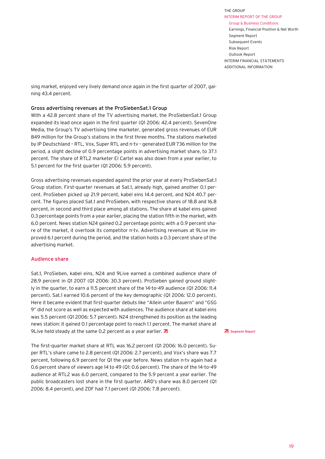sing market, enjoyed very lively demand once again in the first quarter of 2007, gaining 43.4 percent.

#### Gross advertising revenues at the ProSiebenSat.1 Group

With a 42.8 percent share of the TV advertising market, the ProSiebenSat.1 Group expanded its lead once again in the first quarter (Q1 2006: 42.4 percent). SevenOne Media, the Group's TV advertising time marketer, generated gross revenues of EUR 849 million for the Group's stations in the first three months. The stations marketed by IP Deutschland – RTL, Vox, Super RTL and n-tv – generated EUR 736 million for the period, a slight decline of 0.9 percentage points in advertising market share, to 37.1 percent. The share of RTL2 marketer El Cartel was also down from a year earlier, to 5.1 percent for the first quarter (Q1 2006: 5.9 percent).

Gross advertising revenues expanded against the prior year at every ProSiebenSat.1 Group station. First-quarter revenues at Sat.1, already high, gained another 0.1 percent. ProSieben picked up 21.9 percent, kabel eins 14.4 percent, and N24 40.7 percent. The figures placed Sat.1 and ProSieben, with respective shares of 18.8 and 16.8 percent, in second and third place among all stations. The share at kabel eins gained 0.3 percentage points from a year earlier, placing the station fifth in the market, with 6.0 percent. News station N24 gained 0.2 percentage points; with a 0.9 percent share of the market, it overtook its competitor n-tv. Advertising revenues at 9Live improved 6.1 percent during the period, and the station holds a 0.3 percent share of the advertising market.

#### Audience share

Sat.1, ProSieben, kabel eins, N24 and 9Live earned a combined audience share of 28.9 percent in Q1 2007 (Q1 2006: 30.3 percent). ProSieben gained ground slightly in the quarter, to earn a 11.5 percent share of the 14-to-49 audience (Q1 2006: 11.4 percent). Sat.1 earned 10.6 percent of the key demographic (Q1 2006: 12.0 percent). Here it became evident that first-quarter debuts like "Allein unter Bauern" and "GSG 9" did not score as well as expected with audiences. The audience share at kabel eins was 5.5 percent (Q1 2006: 5.7 percent). N24 strengthened its position as the leading news station: it gained 0.1 percentage point to reach 1.1 percent. The market share at 9Live held steady at the same 0.2 percent as a year earlier.  $\overline{a}$ 

The first-quarter market share at RTL was 16.2 percent (Q1 2006: 16.0 percent). Super RTL's share came to 2.8 percent (Q1 2006: 2.7 percent), and Vox's share was 7.7 percent, following 6.9 percent for Q1 the year before. News station n-tv again had a 0.6 percent share of viewers age 14 to 49 (Q1: 0.6 percent). The share of the 14-to-49 audience at RTL2 was 6.0 percent, compared to the 5.9 percent a year earlier. The public broadcasters lost share in the first quarter. ARD's share was 8.0 percent (Q1 2006: 8.4 percent), and ZDF had 7.1 percent (Q1 2006: 7.8 percent).

#### **ZI** Seament Report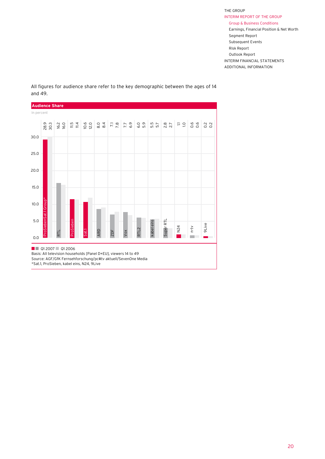

All figures for audience share refer to the key demographic between the ages of 14 and 49.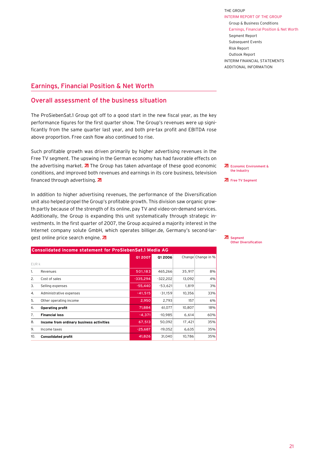ADDITIONAL INFORMATION

## <span id="page-19-0"></span>Earnings, Financial Position & Net Worth

## Overall assessment of the business situation

The ProSiebenSat.1 Group got off to a good start in the new fiscal year, as the key performance figures for the first quarter show. The Group's revenues were up significantly from the same quarter last year, and both pre-tax profit and EBITDA rose above proportion. Free cash flow also continued to rise.

Such profitable growth was driven primarily by higher advertising revenues in the Free TV segment. The upswing in the German economy has had favorable effects on the advertising market.  $\overline{a}$  The Group has taken advantage of these good economic conditions, and improved both revenues and earnings in its core business, television financed through advertising. 7

In addition to higher advertising revenues, the performance of the Diversification unit also helped propel the Group's profitable growth. This division saw organic growth partly because of the strength of its online, pay TV and video-on-demand services. Additionally, the Group is expanding this unit systematically through strategic investments. In the first quarter of 2007, the Group acquired a majority interest in the Internet company solute GmbH, which operates billiger.de, Germany's second-largest online price search engine. 7

|       | <b>Consolidated income statement for ProSiebenSat.1 Media AG</b> |            |            |        |                    |  |  |  |
|-------|------------------------------------------------------------------|------------|------------|--------|--------------------|--|--|--|
|       |                                                                  | 01 2007    | 01 2006    |        | Change Change in % |  |  |  |
| EUR k |                                                                  |            |            |        |                    |  |  |  |
| 1.    | Revenues                                                         | 501,183    | 465,266    | 35,917 | 8%                 |  |  |  |
| 2.    | Cost of sales                                                    | $-335,294$ | $-322,202$ | 13,092 | 4%                 |  |  |  |
| 3.    | Selling expenses                                                 | $-55,440$  | $-53,621$  | 1,819  | 3%                 |  |  |  |
| 4.    | Administrative expenses                                          | $-41,515$  | $-31,159$  | 10,356 | 33%                |  |  |  |
| 5.    | Other operating income                                           | 2,950      | 2,793      | 157    | 6%                 |  |  |  |
| 6.    | <b>Operating profit</b>                                          | 71,884     | 61,077     | 10,807 | 18%                |  |  |  |
| 7.    | <b>Financial loss</b>                                            | $-4,371$   | $-10,985$  | 6,614  | 60%                |  |  |  |
| 8.    | Income from ordinary business activities                         | 67,513     | 50,092     | 17,421 | 35%                |  |  |  |
| 9.    | Income taxes                                                     | $-25,687$  | $-19.052$  | 6,635  | 35%                |  |  |  |
| 10.   | <b>Consolidated profit</b>                                       | 41.826     | 31.040     | 10.786 | 35%                |  |  |  |

**ZI** Economic Environment & the Industry

**ZI** [Free TV Segment](#page-28-0)

**ZI** Segment [Other Diversification](#page-35-0)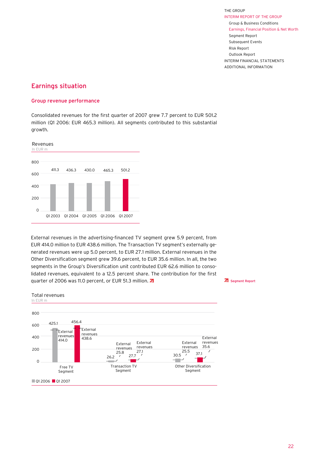## Earnings situation

#### Group revenue performance

Consolidated revenues for the first quarter of 2007 grew 7.7 percent to EUR 501.2 million (Q1 2006: EUR 465.3 million). All segments contributed to this substantial growth.



External revenues in the advertising-financed TV segment grew 5.9 percent, from EUR 414.0 million to EUR 438.6 million. The Transaction TV segment's externally generated revenues were up 5.0 percent, to EUR 27.1 million. External revenues in the Other Diversification segment grew 39.6 percent, to EUR 35.6 million. In all, the two segments in the Group's Diversification unit contributed EUR 62.6 million to consolidated revenues, equivalent to a 12.5 percent share. The contribution for the first quarter of 2006 was 11.0 percent, or EUR 51.3 million.  $\overline{d}$ 

[Segment Report](#page-28-0)

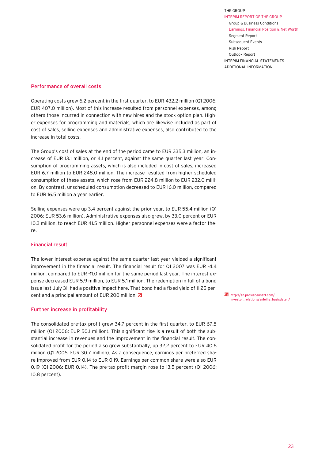ADDITIONAL INFORMATION

#### Performance of overall costs

Operating costs grew 6.2 percent in the first quarter, to EUR 432.2 million (Q1 2006: EUR 407.0 million). Most of this increase resulted from personnel expenses, among others those incurred in connection with new hires and the stock option plan. Higher expenses for programming and materials, which are likewise included as part of cost of sales, selling expenses and administrative expenses, also contributed to the increase in total costs.

The Group's cost of sales at the end of the period came to EUR 335.3 million, an increase of EUR 13.1 million, or 4.1 percent, against the same quarter last year. Consumption of programming assets, which is also included in cost of sales, increased EUR 6.7 million to EUR 248.0 million. The increase resulted from higher scheduled consumption of these assets, which rose from EUR 224.8 million to EUR 232.0 million. By contrast, unscheduled consumption decreased to EUR 16.0 million, compared to EUR 16.5 million a year earlier.

Selling expenses were up 3.4 percent against the prior year, to EUR 55.4 million (Q1 2006: EUR 53.6 million). Administrative expenses also grew, by 33.0 percent or EUR 10.3 million, to reach EUR 41.5 million. Higher personnel expenses were a factor there.

#### Financial result

The lower interest expense against the same quarter last year yielded a significant improvement in the financial result. The financial result for Q1 2007 was EUR -4.4 million, compared to EUR -11.0 million for the same period last year. The interest expense decreased EUR 5.9 million, to EUR 5.1 million. The redemption in full of a bond issue last July 31, had a positive impact here. That bond had a fixed yield of 11.25 percent and a principal amount of EUR 200 million. 7

#### Further increase in profitability

The consolidated pre-tax profit grew 34.7 percent in the first quarter, to EUR 67.5 million (Q1 2006: EUR 50.1 million). This significant rise is a result of both the substantial increase in revenues and the improvement in the financial result. The consolidated profit for the period also grew substantially, up 32.2 percent to EUR 40.6 million (Q1 2006: EUR 30.7 million). As a consequence, earnings per preferred share improved from EUR 0.14 to EUR 0.19. Earnings per common share were also EUR 0.19 (Q1 2006: EUR 0.14). The pre-tax profit margin rose to 13.5 percent (Q1 2006: 10.8 percent).

http://en.prosiebensat1.com/ [investor\\_relations/anleihe\\_basisdaten/](http://en.prosiebensat1.com/investor_relations/anleihe_basisdaten/)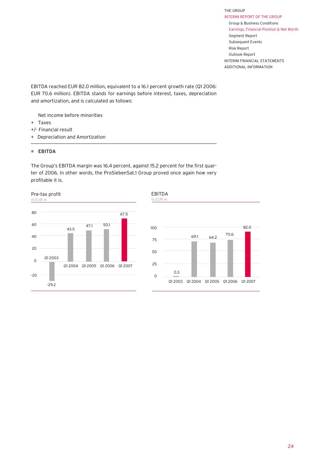EBITDA reached EUR 82.0 million, equivalent to a 16.1 percent growth rate (Q1 2006: EUR 70.6 million). EBITDA stands for earnings before interest, taxes, depreciation and amortization, and is calculated as follows:

- Net income before minorities
- + Taxes
- +/- Financial result
- + Depreciation and Amortization

#### = EBITDA

The Group's EBITDA margin was 16.4 percent, against 15.2 percent for the first quarter of 2006. In other words, the ProSiebenSat.1 Group proved once again how very profitable it is.



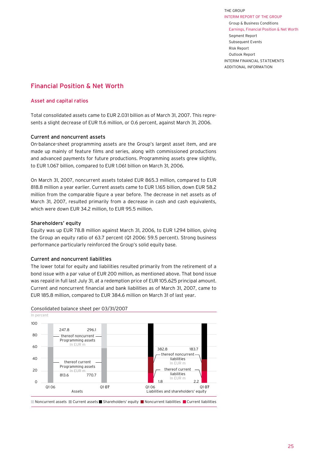## Financial Position & Net Worth

### Asset and capital ratios

Total consolidated assets came to EUR 2.031 billion as of March 31, 2007. This represents a slight decrease of EUR 11.6 million, or 0.6 percent, against March 31, 2006.

#### Current and noncurrent assets

On-balance-sheet programming assets are the Group's largest asset item, and are made up mainly of feature films and series, along with commissioned productions and advanced payments for future productions. Programming assets grew slightly, to EUR 1.067 billion, compared to EUR 1.061 billion on March 31, 2006.

On March 31, 2007, noncurrent assets totaled EUR 865.3 million, compared to EUR 818.8 million a year earlier. Current assets came to EUR 1.165 billion, down EUR 58.2 million from the comparable figure a year before. The decrease in net assets as of March 31, 2007, resulted primarily from a decrease in cash and cash equivalents, which were down EUR 34.2 million, to EUR 95.5 million.

#### Shareholders' equity

Equity was up EUR 78.8 million against March 31, 2006, to EUR 1.294 billion, giving the Group an equity ratio of 63.7 percent (Q1 2006: 59.5 percent). Strong business performance particularly reinforced the Group's solid equity base.

## Current and noncurrent liabilities

The lower total for equity and liabilities resulted primarily from the retirement of a bond issue with a par value of EUR 200 million, as mentioned above. That bond issue was repaid in full last July 31, at a redemption price of EUR 105.625 principal amount. Current and noncurrent financial and bank liabilities as of March 31, 2007, came to EUR 185.8 million, compared to EUR 384.6 million on March 31 of last year.



#### Consolidated balance sheet per 03/31/2007

■ Noncurrent assets ■ Current assets ■ Shareholders' equity ■ Noncurrent liabilities ■ Current liabilities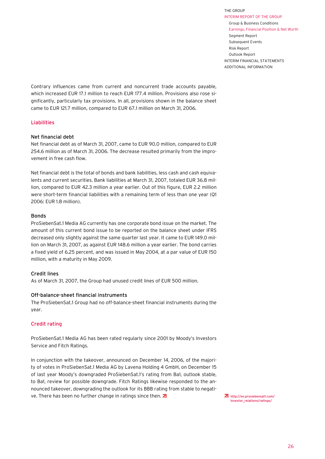ADDITIONAL INFORMATION

Contrary influences came from current and noncurrent trade accounts payable, which increased EUR 17.1 million to reach EUR 177.4 million. Provisions also rose significantly, particularly tax provisions. In all, provisions shown in the balance sheet came to EUR 121.7 million, compared to EUR 67.1 million on March 31, 2006.

#### Liabilities

#### Net financial debt

Net financial debt as of March 31, 2007, came to EUR 90.0 million, compared to EUR 254.6 million as of March 31, 2006. The decrease resulted primarily from the improvement in free cash flow.

Net financial debt is the total of bonds and bank liabilities, less cash and cash equivalents and current securities. Bank liabilities at March 31, 2007, totaled EUR 36.8 million, compared to EUR 42.3 million a year earlier. Out of this figure, EUR 2.2 million were short-term financial liabilities with a remaining term of less than one year (Q1 2006: EUR 1.8 million).

#### Bonds

ProSiebenSat.1 Media AG currently has one corporate bond issue on the market. The amount of this current bond issue to be reported on the balance sheet under IFRS decreased only slightly against the same quarter last year. It came to EUR 149.0 million on March 31, 2007, as against EUR 148.6 million a year earlier. The bond carries a fixed yield of 6.25 percent, and was issued in May 2004, at a par value of EUR 150 million, with a maturity in May 2009.

#### Credit lines

As of March 31, 2007, the Group had unused credit lines of EUR 500 million.

#### Off-balance-sheet financial instruments

The ProSiebenSat.1 Group had no off-balance-sheet financial instruments during the year.

#### Credit rating

ProSiebenSat.1 Media AG has been rated regularly since 2001 by Moody's Investors Service and Fitch Ratings.

In conjunction with the takeover, announced on December 14, 2006, of the majority of votes in ProSiebenSat.1 Media AG by Lavena Holding 4 GmbH, on December 15 of last year Moody's downgraded ProSiebenSat.1's rating from Ba1, outlook stable, to Ba1, review for possible downgrade. Fitch Ratings likewise responded to the announced takeover, downgrading the outlook for its BBB rating from stable to negative. There has been no further change in ratings since then. **7** 

[http://en.prosiebensat1.com/](http://en.prosiebensat1.com/investor_relations/ratings/) investor\_relations/ratings/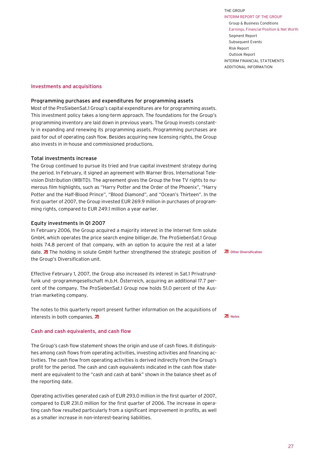THE GROUP INTERIM REPORT of THE GROUP Group & Business Conditions Earnings, Financial Position & Net Worth Segment Report Subsequent Events Risk Report Outlook Report

INTERIM FINANCIAL STATEMENTS ADDITIONAL INFORMATION

Investments and acquisitions

#### Programming purchases and expenditures for programming assets

Most of the ProSiebenSat.1 Group's capital expenditures are for programming assets. This investment policy takes a long-term approach. The foundations for the Group's programming inventory are laid down in previous years. The Group invests constantly in expanding and renewing its programming assets. Programming purchases are paid for out of operating cash flow. Besides acquiring new licensing rights, the Group also invests in in-house and commissioned productions.

#### Total investments increase

The Group continued to pursue its tried and true capital investment strategy during the period. In February, it signed an agreement with Warner Bros. International Television Distribution (WBITD). The agreement gives the Group the free TV rights to numerous film highlights, such as "Harry Potter and the Order of the Phoenix", "Harry Potter and the Half-Blood Prince", "Blood Diamond", and "Ocean's Thirteen". In the first quarter of 2007, the Group invested EUR 269.9 million in purchases of programming rights, compared to EUR 249.1 million a year earlier.

#### Equity investments in Q1 2007

In February 2006, the Group acquired a majority interest in the Internet firm solute GmbH, which operates the price search engine billiger.de. The ProSiebenSat.1 Group holds 74.8 percent of that company, with an option to acquire the rest at a later date.  $\overline{A}$  The holding in solute GmbH further strengthened the strategic position of the Group's Diversification unit.

Effective February 1, 2007, the Group also increased its interest in Sat.1 Privatrundfunk und -programmgesellschaft m.b.H. Österreich, acquiring an additional 17.7 percent of the company. The ProSiebenSat.1 Group now holds 51.0 percent of the Austrian marketing company.

The notes to this quarterly report present further information on the acquisitions of interests in both companies. 7

#### Cash and cash equivalents, and cash flow

The Group's cash flow statement shows the origin and use of cash flows. It distinguishes among cash flows from operating activities, investing activities and financing activities. The cash flow from operating activities is derived indirectly from the Group's profit for the period. The cash and cash equivalents indicated in the cash flow statement are equivalent to the "cash and cash at bank" shown in the balance sheet as of the reporting date.

Operating activities generated cash of EUR 293.0 million in the first quarter of 2007, compared to EUR 231.0 million for the first quarter of 2006. The increase in operating cash flow resulted particularly from a significant improvement in profits, as well as a smaller increase in non-interest-bearing liabilities.

**ZI** [Notes](#page-55-0)

**Z** [Other Diversification](#page-35-0)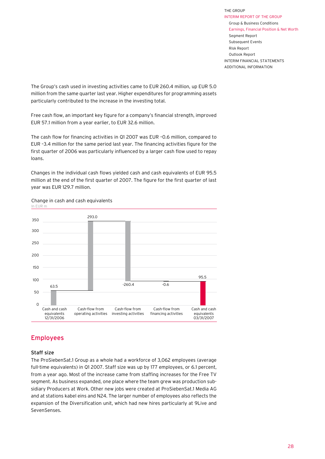The Group's cash used in investing activities came to EUR 260.4 million, up EUR 5.0 million from the same quarter last year. Higher expenditures for programming assets particularly contributed to the increase in the investing total.

Free cash flow, an important key figure for a company's financial strength, improved EUR 57.1 million from a year earlier, to EUR 32.6 million.

The cash flow for financing activities in Q1 2007 was EUR –0.6 million, compared to EUR –3.4 million for the same period last year. The financing activities figure for the first quarter of 2006 was particularly influenced by a larger cash flow used to repay loans.

Changes in the individual cash flows yielded cash and cash equivalents of EUR 95.5 million at the end of the first quarter of 2007. The figure for the first quarter of last year was EUR 129.7 million.



Change in cash and cash equivalents

## Employees

## Staff size

The ProSiebenSat.1 Group as a whole had a workforce of 3,062 employees (average full-time equivalents) in Q1 2007. Staff size was up by 177 employees, or 6.1 percent, from a year ago. Most of the increase came from staffing increases for the Free TV segment. As business expanded, one place where the team grew was production subsidiary Producers at Work. Other new jobs were created at ProSiebenSat.1 Media AG and at stations kabel eins and N24. The larger number of employees also reflects the expansion of the Diversification unit, which had new hires particularly at 9Live and SevenSenses.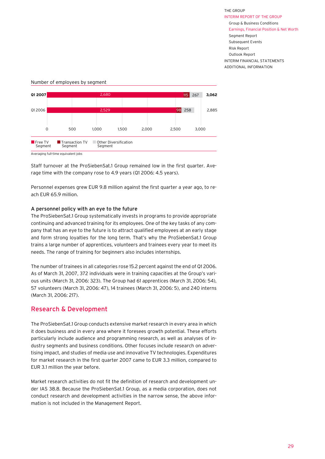2,885

**3,062**



Seament

<span id="page-27-0"></span>Number of employees by segment

**Segment** 



Segment

Staff turnover at the ProSiebenSat.1 Group remained low in the first quarter. Average time with the company rose to 4.9 years (Q1 2006: 4.5 years).

Personnel expenses grew EUR 9.8 million against the first quarter a year ago, to reach EUR 65.9 million.

#### A personnel policy with an eye to the future

The ProSiebenSat.1 Group systematically invests in programs to provide appropriate continuing and advanced training for its employees. One of the key tasks of any company that has an eye to the future is to attract qualified employees at an early stage and form strong loyalties for the long term. That's why the ProSiebenSat.1 Group trains a large number of apprentices, volunteers and trainees every year to meet its needs. The range of training for beginners also includes internships.

The number of trainees in all categories rose 15.2 percent against the end of Q1 2006. As of March 31, 2007, 372 individuals were in training capacities at the Group's various units (March 31, 2006: 323). The Group had 61 apprentices (March 31, 2006: 54), 57 volunteers (March 31, 2006: 47), 14 trainees (March 31, 2006: 5), and 240 interns (March 31, 2006: 217).

## Research & Development

The ProSiebenSat.1 Group conducts extensive market research in every area in which it does business and in every area where it foresees growth potential. These efforts particularly include audience and programming research, as well as analyses of industry segments and business conditions. Other focuses include research on advertising impact, and studies of media use and innovative TV technologies. Expenditures for market research in the first quarter 2007 came to EUR 3.3 million, compared to EUR 3.1 million the year before.

Market research activities do not fit the definition of research and development under IAS 38.8. Because the ProSiebenSat.1 Group, as a media corporation, does not conduct research and development activities in the narrow sense, the above information is not included in the Management Report.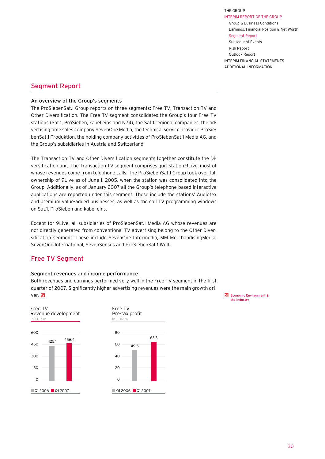## <span id="page-28-0"></span>Segment Report

#### An overview of the Group's segments

The ProSiebenSat.1 Group reports on three segments: Free TV, Transaction TV and Other Diversification. The Free TV segment consolidates the Group's four Free TV stations (Sat.1, ProSieben, kabel eins and N24), the Sat.1 regional companies, the advertising time sales company SevenOne Media, the technical service provider ProSiebenSat.1 Produktion, the holding company activities of ProSiebenSat.1 Media AG, and the Group's subsidiaries in Austria and Switzerland.

The Transaction TV and Other Diversification segments together constitute the Diversification unit. The Transaction TV segment comprises quiz station 9Live, most of whose revenues come from telephone calls. The ProSiebenSat.1 Group took over full ownership of 9Live as of June 1, 2005, when the station was consolidated into the Group. Additionally, as of January 2007 all the Group's telephone-based interactive applications are reported under this segment. These include the stations' Audiotex and premium value-added businesses, as well as the call TV programming windows on Sat.1, ProSieben and kabel eins.

Except for 9Live, all subsidiaries of ProSiebenSat.1 Media AG whose revenues are not directly generated from conventional TV advertising belong to the Other Diversification segment. These include SevenOne Intermedia, MM MerchandisingMedia, SevenOne International, SevenSenses and ProSiebenSat.1 Welt.

## Free TV Segment

#### Segment revenues and income performance

Both revenues and earnings performed very well in the Free TV segment in the first quarter of 2007. Significantly higher advertising revenues were the main growth driver. 7





[Economic Environment &](#page-15-0)  the Industry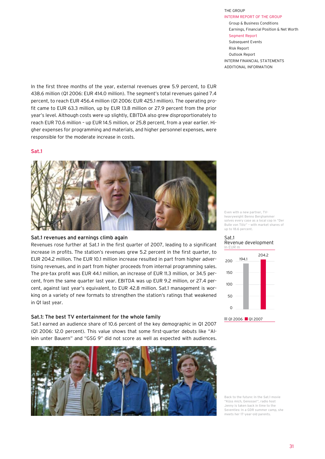THE GROUP

In the first three months of the year, external revenues grew 5.9 percent, to EUR 438.6 million (Q1 2006: EUR 414.0 million). The segment's total revenues gained 7.4 percent, to reach EUR 456.4 million (Q1 2006: EUR 425.1 million). The operating profit came to EUR 63.3 million, up by EUR 13.8 million or 27.9 percent from the prior year's level. Although costs were up slightly, EBITDA also grew disproportionately to reach EUR 70.6 million – up EUR 14.5 million, or 25.8 percent, from a year earlier. Higher expenses for programming and materials, and higher personnel expenses, were responsible for the moderate increase in costs.

#### Sat.1



#### Sat.1 revenues and earnings climb again

Revenues rose further at Sat.1 in the first quarter of 2007, leading to a significant increase in profits. The station's revenues grew 5.2 percent in the first quarter, to EUR 204.2 million. The EUR 10.1 million increase resulted in part from higher advertising revenues, and in part from higher proceeds from internal programming sales. The pre-tax profit was EUR 44.1 million, an increase of EUR 11.3 million, or 34.5 percent, from the same quarter last year. EBITDA was up EUR 9.2 million, or 27.4 percent, against last year's equivalent, to EUR 42.8 million. Sat.1 management is working on a variety of new formats to strengthen the station's ratings that weakened in Q1 last year.

#### Sat.1: The best TV entertainment for the whole family

Sat.1 earned an audience share of 10.6 percent of the key demographic in Q1 2007 (Q1 2006: 12.0 percent). This value shows that some first-quarter debuts like "Allein unter Bauern" and "GSG 9" did not score as well as expected with audiences.



Even with a new partner, TVheavyweight Benno Berghammer solves every case as a local cop in "Der Bulle von Tölz" – with market shares of up to 18.6 percent.

In EUR Sat 1 Revenue development



Back to the future: In the Sat.1 movie "Küss mich, Genosse!", radio host Jenny is taken back in time to the Seventies: In a GDR summer camp, she meets her 17-year-old parents.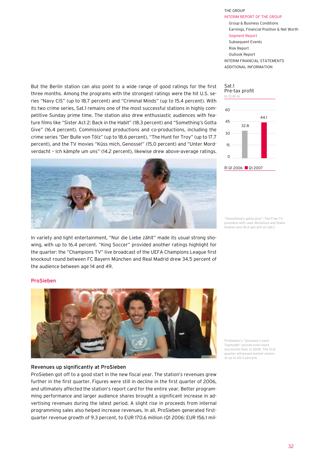But the Berlin station can also point to a wide range of good ratings for the first three months. Among the programs with the strongest ratings were the hit U.S. series "Navy CIS" (up to 18.7 percent) and "Criminal Minds" (up to 15.4 percent). With its two crime series, Sat.1 remains one of the most successful stations in highly competitive Sunday prime time. The station also drew enthusiastic audiences with feature films like "Sister Act 2: Back in the Habit" (18.3 percent) and "Something's Gotta Give" (16.4 percent). Commissioned productions and co-productions, including the crime series "Der Bulle von Tölz" (up to 18.6 percent), "The Hunt for Troy" (up to 17.7 percent), and the TV movies "Küss mich, Genosse!" (15.0 percent) and "Unter Mordverdacht – Ich kämpfe um uns" (14.2 percent), likewise drew above-average ratings.



In variety and light entertainment, "Nur die Liebe zählt" made its usual strong showing, with up to 16.4 percent. "King Soccer" provided another ratings highlight for the quarter: the "Champions TV" live broadcast of the UEFA Champions League first knockout round between FC Bayern München and Real Madrid drew 34.5 percent of the audience between age 14 and 49.

## 60 45 30 15  $\Omega$ In EUR m Sat.1 Pre-tax profit 44.1 32.8 Q1 2006 Q1 2007

"Something's gotta give": The Free TV premiere with Jack Nicholson and Diane Keaton won 16.4 percent on Sat.1.

#### ProSieben



#### Revenues up significantly at ProSieben

ProSieben got off to a good start in the new fiscal year. The station's revenues grew further in the first quarter. Figures were still in decline in the first quarter of 2006, and ultimately affected the station's report card for the entire year. Better programming performance and larger audience shares brought a significant increase in advertising revenues during the latest period. A slight rise in proceeds from internal programming sales also helped increase revenues. In all, ProSieben generated firstquarter revenue growth of 9.3 percent, to EUR 170.6 million (Q1 2006: EUR 156.1 milProSieben's "Germany's next Topmodel" proved even more successful than in 2006. The first quarter witnessed market shares of up to 20.4 percent.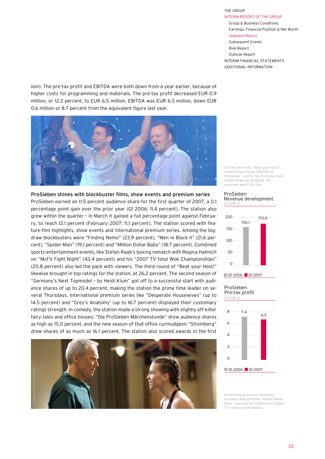lion). The pre-tax profit and EBITDA were both down from a year earlier, because of higher costs for programming and materials. The pre-tax profit decreased EUR 0.9 million, or 12.2 percent, to EUR 6.5 million. EBITDA was EUR 6.3 million, down EUR 0.6 million or 8.7 percent from the equivalent figure last year.



ProSieben shines with blockbuster films, show events and premium series ProSieben earned an 11.5 percent audience share for the first quarter of 2007, a 0.1 percentage point gain over the prior year (Q1 2006: 11.4 percent). The station also grew within the quarter – in March it gained a full percentage point against February, to reach 12.1 percent (February 2007: 11.1 percent). The station scored with feature-film highlights, show events and international premium series. Among the bigdraw blockbusters were "Finding Nemo" (23.9 percent), "Men in Black II" (21.6 percent), "Spider-Man" (19.1 percent) and "Million Dollar Baby" (18.7 percent). Combined sports-entertainment events, like Stefan Raab's boxing rematch with Regina Halmich on "McFit Fight Night" (43.4 percent) and his "2007 TV total Wok Championships" (20.8 percent) also led the pack with viewers. The third round of "Beat your Host!" likewise brought in top ratings for the station, at 26.2 percent. The second season of "Germany's Next Topmodel – by Heidi Klum" got off to a successful start with audience shares of up to 20.4 percent, making the station the prime time leader on several Thursdays. International premium series like "Desperate Housewives" (up to 14.5 percent) and "Grey's Anatomy' (up to 16.7 percent) displayed their customary ratings strength. In comedy, the station made a strong showing with slightly off-kilter fairy tales and office bosses: "Die ProSieben Märchenstunde" drew audience shares as high as 15.0 percent, and the new season of that office curmudgeon "Stromberg" drew shares of as much as 16.1 percent. The station also scored awards in the first



For the third time, "Beat your Host!" achieved top ratings (26.2%) on ProSieben – and for the first time, host Stefan Raab was defeated. His opponent won EUR 1.5m.

#### In EUR m ProSieben Revenue development



#### In EUR m ProSieben Pre-tax profit



Premiering on German television, Academy Award Winner "Million Dollar Baby" captured the attention of 2.65m TV viewers on ProSieben.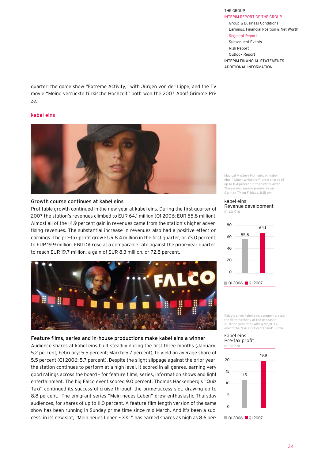quarter: the game show "Extreme Activity," with Jürgen von der Lippe, and the TV movie "Meine verrückte türkische Hochzeit" both won the 2007 Adolf Grimme Prize.

#### kabel eins



#### Growth course continues at kabel eins

Profitable growth continued in the new year at kabel eins. During the first quarter of 2007 the station's revenues climbed to EUR 64.1 million (Q1 2006: EUR 55.8 million). Almost all of the 14.9 percent gain in revenues came from the station's higher advertising revenues. The substantial increase in revenues also had a positive effect on earnings. The pre-tax profit grew EUR 8.4 million in the first quarter, or 73.0 percent, to EUR 19.9 million. EBITDA rose at a comparable rate against the prior-year quarter, to reach EUR 19.7 million, a gain of EUR 8.3 million, or 72.8 percent.



#### Feature films, series and in-house productions make kabel eins a winner

Audience shares at kabel eins built steadily during the first three months (January: 5.2 percent; February: 5.5 percent; March: 5.7 percent), to yield an average share of 5.5 percent (Q1 2006: 5.7 percent). Despite the slight slippage against the prior year, the station continues to perform at a high level. It scored in all genres, earning very good ratings across the board – for feature films, series, information shows and light entertainment. The big Falco event scored 9.0 percent. Thomas Hackenberg's "Quiz Taxi" continued its successful cruise through the prime-access slot, drawing up to 8.8 percent. The emigrant series "Mein neues Leben" drew enthusiastic Thursday audiences, for shares of up to 11.0 percent. A feature-film-length version of the same show has been running in Sunday prime time since mid-March. And it's been a success: in its new slot, "Mein neues Leben – XXL" has earned shares as high as 8.6 perMagical Mystery Moments on kabel eins: "Ghost Whisperer" drew shares of up to 11.4 percent in the first quarter. The second season premieres on German TV on Fridays, 8.15 pm.

#### In EUR m kabel eins Revenue development



Falco's alive: kabel eins commemorated the 50th birthday of the deceased Austrian superstar with a major TV event: the "FALCO-Eventabend" (9%).

#### In EUR m kabel eins Pre-tax profit

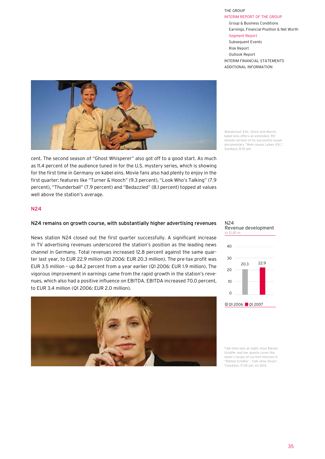

cent. The second season of "Ghost Whisperer" also got off to a good start. As much as 11.4 percent of the audience tuned in for the U.S. mystery series, which is showing for the first time in Germany on kabel eins. Movie fans also had plenty to enjoy in the first quarter: features like "Turner & Hooch" (9.3 percent), "Look Who's Talking" (7.9 percent), "Thunderball" (7.9 percent) and "Bedazzled" (8.1 percent) topped at values well above the station's average.

Wanderlust XXL: Since mid-March, kabel eins offers an extended, 90 minute version of its successful expatdocumentary "Mein neues Leben XXL". Sundays, 8.15 pm.

#### N24

#### N24 remains on growth course, with substantially higher advertising revenues

News station N24 closed out the first quarter successfully. A significant increase in TV advertising revenues underscored the station's position as the leading news channel in Germany. Total revenues increased 12.8 percent against the same quarter last year, to EUR 22.9 million (Q1 2006: EUR 20.3 million). The pre-tax profit was EUR 3.5 million – up 84.2 percent from a year earlier (Q1 2006: EUR 1.9 million). The vigorous improvement in earnings came from the rapid growth in the station's revenues, which also had a positive influence on EBITDA. EBITDA increased 70.0 percent, to EUR 3.4 million (Q1 2006: EUR 2.0 million).







Talk-time late at night: Host Bärbel Schäfer and her guests cover the week's issues of current interest in "Bärbel Schäfer – Talk ohne Show". Tuesdays, 11.30 pm, on N24.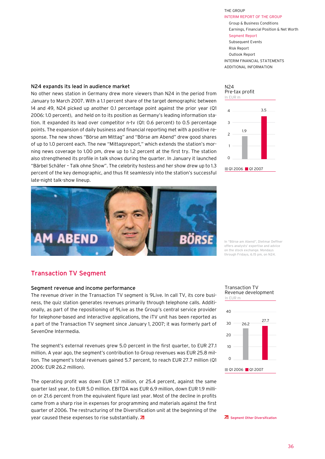#### N24 expands its lead in audience market

No other news station in Germany drew more viewers than N24 in the period from January to March 2007. With a 1.1 percent share of the target demographic between 14 and 49, N24 picked up another 0.1 percentage point against the prior year (Q1 2006: 1.0 percent), and held on to its position as Germany's leading information station. It expanded its lead over competitor n-tv (Q1: 0.6 percent) to 0.5 percentage points. The expansion of daily business and financial reporting met with a positive response. The new shows "Börse am Mittag" and "Börse am Abend" drew good shares of up to 1.0 percent each. The new "Mittagsreport," which extends the station's morning news coverage to 1.00 pm, drew up to 1.2 percent at the first try. The station also strengthened its profile in talk shows during the quarter. In January it launched "Bärbel Schäfer – Talk ohne Show". The celebrity hostess and her show drew up to 1.3 percent of the key demographic, and thus fit seamlessly into the station's successful late-night talk-show lineup.





In "Börse am Abend", Dietmar Deffner offers analysts' expertise and advice on the stock exchange. Mondays through Fridays, 6.15 pm, on N24.

## Transaction TV Segment

#### Segment revenue and income performance

The revenue driver in the Transaction TV segment is 9Live. In call TV, its core business, the quiz station generates revenues primarily through telephone calls. Additionally, as part of the repositioning of 9Live as the Group's central service provider for telephone-based and interactive applications, the iTV unit has been reported as a part of the Transaction TV segment since January 1, 2007; it was formerly part of SevenOne Intermedia.

The segment's external revenues grew 5.0 percent in the first quarter, to EUR 27.1 million. A year ago, the segment's contribution to Group revenues was EUR 25.8 million. The segment's total revenues gained 5.7 percent, to reach EUR 27.7 million (Q1 2006: EUR 26.2 million).

The operating profit was down EUR 1.7 million, or 25.4 percent, against the same quarter last year, to EUR 5.0 million. EBITDA was EUR 6.9 million, down EUR 1.9 million or 21.6 percent from the equivalent figure last year. Most of the decline in profits came from a sharp rise in expenses for programming and materials against the first quarter of 2006. The restructuring of the Diversification unit at the beginning of the year caused these expenses to rise substantially.  $\overline{A}$ 

#### In EUR m Transaction TV Revenue development



Segment Other Diversification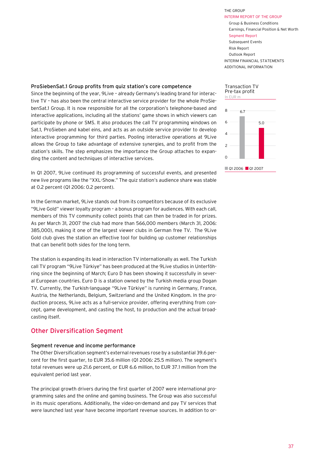#### ADDITIONAL INFORMATION

#### <span id="page-35-0"></span>ProSiebenSat.1 Group profits from quiz station's core competence

Since the beginning of the year, 9Live – already Germany's leading brand for interactive TV – has also been the central interactive service provider for the whole ProSiebenSat.1 Group. It is now responsible for all the corporation's telephone-based and interactive applications, including all the stations' game shows in which viewers can participate by phone or SMS. It also produces the call TV programming windows on Sat.1, ProSieben and kabel eins, and acts as an outside service provider to develop interactive programming for third parties. Pooling interactive operations at 9Live allows the Group to take advantage of extensive synergies, and to profit from the station's skills. The step emphasizes the importance the Group attaches to expanding the content and techniques of interactive services.

In Q1 2007, 9Live continued its programming of successful events, and presented new live programs like the "XXL-Show." The quiz station's audience share was stable at 0.2 percent (Q1 2006: 0.2 percent).

In the German market, 9Live stands out from its competitors because of its exclusive "9Live Gold" viewer loyalty program – a bonus program for audiences. With each call, members of this TV community collect points that can then be traded in for prizes. As per March 31, 2007 the club had more than 566,000 members (March 31, 2006: 385,000), making it one of the largest viewer clubs in German free TV. The 9Live Gold club gives the station an effective tool for building up customer relationships that can benefit both sides for the long term.

The station is expanding its lead in interaction TV internationally as well. The Turkish call TV program "9Live Türkiye" has been produced at the 9Live studios in Unterföhring since the beginning of March; Euro D has been showing it successfully in several European countries. Euro D is a station owned by the Turkish media group Dogan TV. Currently, the Turkish-language "9Live Türkiye" is running in Germany, France, Austria, the Netherlands, Belgium, Switzerland and the United Kingdom. In the production process, 9Live acts as a full-service provider, offering everything from concept, game development, and casting the host, to production and the actual broadcasting itself.

## Other Diversification Segment

#### Segment revenue and income performance

The Other Diversification segment's external revenues rose by a substantial 39.6 percent for the first quarter, to EUR 35.6 million (Q1 2006: 25.5 million). The segment's total revenues were up 21.6 percent, or EUR 6.6 million, to EUR 37.1 million from the equivalent period last year.

The principal growth drivers during the first quarter of 2007 were international programming sales and the online and gaming business. The Group was also successful in its music operations. Additionally, the video-on-demand and pay TV services that were launched last year have become important revenue sources. In addition to or-



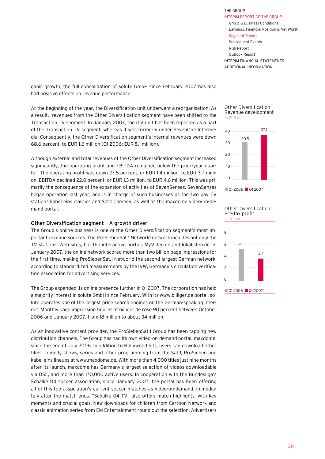ganic growth, the full consolidation of solute GmbH since February 2007 has also had positive effects on revenue performance.

At the beginning of the year, the Diversification unit underwent a reorganisation. As a result, revenues from the Other Diversification segment have been shifted to the Transaction TV segment. In January 2007, the iTV unit has been reported as a part of the Transaction TV segment, whereas it was formerly under SevenOne Intermedia. Consequently, the Other Diversification segment's internal revenues were down 68.6 percent, to EUR 1.6 million (Q1 2006: EUR 5.1 million).

Although external and total revenues of the Other Diversification segment increased significantly, the operating profit and EBITDA remained below the prior-year quarter. The operating profit was down 27.5 percent, or EUR 1.4 million, to EUR 3.7 million. EBITDA declined 22.0 percent, or EUR 1.3 million, to EUR 4.6 million. This was primarily the consequence of the expansion of activities of SevenSenses. SevenSenses began operation last year, and is in charge of such businesses as the two pay TV stations kabel eins classics and Sat.1 Comedy, as well as the maxdome video-on-demand portal.

#### Other Diversification segment – A growth driver

The Group's online business is one of the Other Diversification segment's most important revenue sources. The ProSiebenSat.1 Networld network includes not only the TV stations' Web sites, but the interactive portals MyVideo.de and lokalisten.de. In January 2007, the online network scored more than two billion page impressions for the first time, making ProSiebenSat.1 Networld the second-largest German network, according to standardized measurements by the IVW, Germany's circulation verification association for advertising services.

The Group expanded its online presence further in Q1 2007. The corporation has held a majority interest in solute GmbH since February. With its www.billiger.de portal, solute operates one of the largest price search engines on the German-speaking Internet. Monthly page impression figures at billiger.de rose 90 percent between October 2006 and January 2007, from 18 million to about 34 million.

As an innovative content provider, the ProSiebenSat.1 Group has been tapping new distribution channels. The Group has had its own video-on-demand portal, maxdome, since the end of July 2006. In addition to Hollywood hits, users can download other films, comedy shows, series and other programming from the Sat.1, ProSieben and kabel eins lineups at www.maxdome.de. With more than 4,000 titles just nine months after its launch, maxdome has Germany's largest selection of videos downloadable via DSL, and more than 170,000 active users. In cooperation with the Bundesliga's Schalke 04 soccer association, since January 2007, the portal has been offering all of this top association's current soccer matches as video-on-demand, immediately after the match ends. "Schalke 04 TV" also offers match highlights, with key moments and crucial goals. New downloads for children from Cartoon Network and classic animation series from EM Entertainment round out the selection. Advertisers

#### In EUR m Other Diversification Revenue development





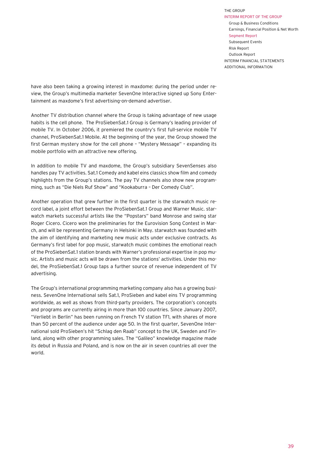have also been taking a growing interest in maxdome: during the period under review, the Group's multimedia marketer SevenOne Interactive signed up Sony Entertainment as maxdome's first advertising-on-demand advertiser.

Another TV distribution channel where the Group is taking advantage of new usage habits is the cell phone. The ProSiebenSat.1 Group is Germany's leading provider of mobile TV. In October 2006, it premiered the country's first full-service mobile TV channel, ProSiebenSat.1 Mobile. At the beginning of the year, the Group showed the first German mystery show for the cell phone – "Mystery Message" – expanding its mobile portfolio with an attractive new offering.

In addition to mobile TV and maxdome, the Group's subsidiary SevenSenses also handles pay TV activities. Sat.1 Comedy and kabel eins classics show film and comedy highlights from the Group's stations. The pay TV channels also show new programming, such as "Die Niels Ruf Show" and "Kookaburra – Der Comedy Club".

Another operation that grew further in the first quarter is the starwatch music record label, a joint effort between the ProSiebenSat.1 Group and Warner Music. starwatch markets successful artists like the "Popstars" band Monrose and swing star Roger Cicero. Cicero won the preliminaries for the Eurovision Song Contest in March, and will be representing Germany in Helsinki in May. starwatch was founded with the aim of identifying and marketing new music acts under exclusive contracts. As Germany's first label for pop music, starwatch music combines the emotional reach of the ProSiebenSat.1 station brands with Warner's professional expertise in pop music. Artists and music acts will be drawn from the stations' activities. Under this model, the ProSiebenSat.1 Group taps a further source of revenue independent of TV advertising.

The Group's international programming marketing company also has a growing business. SevenOne International sells Sat.1, ProSieben and kabel eins TV programming worldwide, as well as shows from third-party providers. The corporation's concepts and programs are currently airing in more than 100 countries. Since January 2007, "Verliebt in Berlin" has been running on French TV station TF1, with shares of more than 50 percent of the audience under age 50. In the first quarter, SevenOne International sold ProSieben's hit "Schlag den Raab" concept to the UK, Sweden and Finland, along with other programming sales. The "Galileo" knowledge magazine made its debut in Russia and Poland, and is now on the air in seven countries all over the world.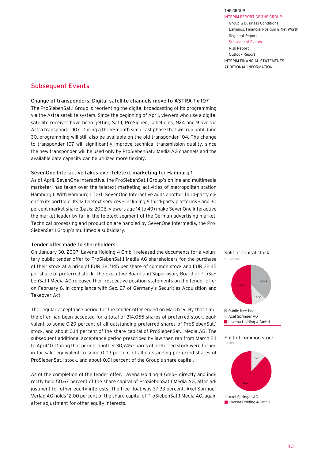THE GROUP INTERIM REPORT of THE GROUP Group & Business Conditions Earnings, Financial Position & Net Worth Segment Report

#### Subsequent Events

Risk Report Outlook Report INTERIM FINANCIAL STATEMENTS ADDITIONAL INFORMATION

## <span id="page-38-0"></span>Subsequent Events

#### Change of transponders: Digital satellite channels move to ASTRA Tx 107

The ProSiebenSat.1 Group is reorienting the digital broadcasting of its programming via the Astra satellite system. Since the beginning of April, viewers who use a digital satellite receiver have been getting Sat.1, ProSieben, kabel eins, N24 and 9Live via Astra transponder 107. During a three-month simulcast phase that will run until June 30, programming will still also be available on the old transponder 104. The change to transponder 107 will significantly improve technical transmission quality, since the new transponder will be used only by ProSiebenSat.1 Media AG channels and the available data capacity can be utilized more flexibly.

#### SevenOne Interactive takes over teletext marketing for Hamburg 1

As of April, SevenOne Interactive, the ProSiebenSat.1 Group's online and multimedia marketer, has taken over the teletext marketing activities of metropolitan station Hamburg 1. With Hamburg 1 Text, SevenOne Interactive adds another third-party cli-88,0 ent to its portfolio. Its 12 teletext services – including 6 third-party platforms – and 30 percent market share (basis: 2006, viewers age 14 to 49) make SevenOne Interactive the market leader by far in the teletext segment of the German advertising market. Technical processing and production are handled by SevenOne Intermedia, the Pro-SiebenSat.1 Group's multimedia subsidiary.

#### Tender offer made to shareholders

On January 30, 2007, Lavena Holding 4 GmbH released the documents for a voluntary public tender offer to ProSiebenSat.1 Media AG shareholders for the purchase of their stock at a price of EUR 28.7145 per share of common stock and EUR 22.45 per share of preferred stock. The Executive Board and Supervisory Board of ProSiebenSat.1 Media AG released their respective position statements on the tender offer on February 6, in compliance with Sec. 27 of Germany's Securities Acquisition and Takeover Act.

The regular acceptance period for the tender offer ended on March 19. By that time, the offer had been accepted for a total of 314,055 shares of preferred stock, equivalent to some 0.29 percent of all outstanding preferred shares of ProSiebenSat.1 stock, and about 0.14 percent of the share capital of ProSiebenSat.1 Media AG. The subsequent additional acceptance period prescribed by law then ran from March 24 to April 10. During that period, another 30,745 shares of preferred stock were turned in for sale, equivalent to some 0.03 percent of all outstanding preferred shares of ProSiebenSat.1 stock, and about 0.01 percent of the Group's share capital.

As of the completion of the tender offer, Lavena Holding 4 GmbH directly and indirectly held 50.67 percent of the share capital of ProSiebenSat.1 Media AG, after adjustment for other equity interests. The free float was 37.33 percent. Axel Springer Verlag AG holds 12.00 percent of the share capital of ProSiebenSat.1 Media AG, again after adjustment for other equity interests.







#### Split of common stock In percent

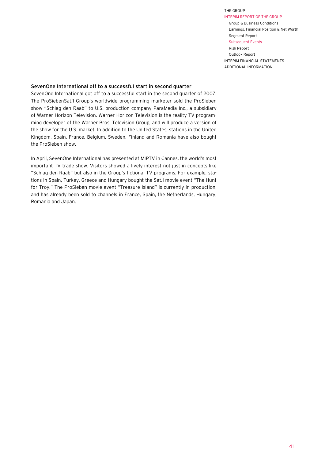INTERIM REPORT of THE GROUP Group & Business Conditions Earnings, Financial Position & Net Worth Segment Report Subsequent Events

Risk Report Outlook Report INTERIM FINANCIAL STATEMENTS ADDITIONAL INFORMATION

#### SevenOne International off to a successful start in second quarter

SevenOne International got off to a successful start in the second quarter of 2007. The ProSiebenSat.1 Group's worldwide programming marketer sold the ProSieben show "Schlag den Raab" to U.S. production company ParaMedia Inc., a subsidiary of Warner Horizon Television. Warner Horizon Television is the reality TV programming developer of the Warner Bros. Television Group, and will produce a version of the show for the U.S. market. In addition to the United States, stations in the United Kingdom, Spain, France, Belgium, Sweden, Finland and Romania have also bought the ProSieben show.

In April, SevenOne International has presented at MIPTV in Cannes, the world's most important TV trade show. Visitors showed a lively interest not just in concepts like "Schlag den Raab" but also in the Group's fictional TV programs. For example, stations in Spain, Turkey, Greece and Hungary bought the Sat.1 movie event "The Hunt for Troy." The ProSieben movie event "Treasure Island" is currently in production, and has already been sold to channels in France, Spain, the Netherlands, Hungary, Romania and Japan.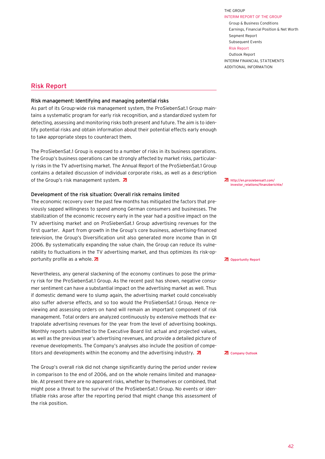INTERIM REPORT of THE GROUP Group & Business Conditions Earnings, Financial Position & Net Worth Segment Report Subsequent Events

#### Risk Report

THE GROUP

Outlook Report INTERIM FINANCIAL STATEMENTS ADDITIONAL INFORMATION

## <span id="page-40-0"></span>Risk Report

#### Risk management: Identifying and managing potential risks

As part of its Group-wide risk management system, the ProSiebenSat.1 Group maintains a systematic program for early risk recognition, and a standardized system for detecting, assessing and monitoring risks both present and future. The aim is to identify potential risks and obtain information about their potential effects early enough to take appropriate steps to counteract them.

The ProSiebenSat.1 Group is exposed to a number of risks in its business operations. The Group's business operations can be strongly affected by market risks, particularly risks in the TV advertising market. The Annual Report of the ProSiebenSat.1 Group contains a detailed discussion of individual corporate risks, as well as a description of the Group's risk management system.  $\overline{a}$ 

#### Development of the risk situation: Overall risk remains limited

The economic recovery over the past few months has mitigated the factors that previously sapped willingness to spend among German consumers and businesses. The stabilization of the economic recovery early in the year had a positive impact on the TV advertising market and on ProSiebenSat.1 Group advertising revenues for the first quarter. Apart from growth in the Group's core business, advertising-financed television, the Group's Diversification unit also generated more income than in Q1 2006. By systematically expanding the value chain, the Group can reduce its vulnerability to fluctuations in the TV advertising market, and thus optimizes its risk-opportunity profile as a whole.  $\overline{z}$ 

Nevertheless, any general slackening of the economy continues to pose the primary risk for the ProSiebenSat.1 Group. As the recent past has shown, negative consumer sentiment can have a substantial impact on the advertising market as well. Thus if domestic demand were to slump again, the advertising market could conceivably also suffer adverse effects, and so too would the ProSiebenSat.1 Group. Hence reviewing and assessing orders on hand will remain an important component of risk management. Total orders are analyzed continuously by extensive methods that extrapolate advertising revenues for the year from the level of advertising bookings. Monthly reports submitted to the Executive Board list actual and projected values, as well as the previous year's advertising revenues, and provide a detailed picture of revenue developments. The Company's analyses also include the position of competitors and developments within the economy and the advertising industry.  $\overline{d}$ 

The Group's overall risk did not change significantly during the period under review in comparison to the end of 2006, and on the whole remains limited and manageable. At present there are no apparent risks, whether by themselves or combined, that might pose a threat to the survival of the ProSiebenSat.1 Group. No events or identifiable risks arose after the reporting period that might change this assessment of the risk position.

http://en.prosiebensat1.com/ [investor\\_relations/finanzberichte/](http://en.prosiebensat1.com/investor_relations/finanzberichte/)

**Z** [Opportunity Report](#page-41-0)

**Z** [Company Outlook](#page-44-0)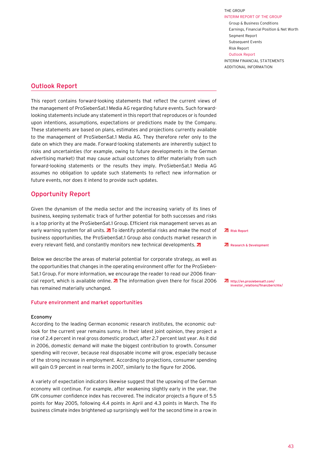ADDITIONAL INFORMATION

## <span id="page-41-0"></span>Outlook Report

This report contains forward-looking statements that reflect the current views of the management of ProSiebenSat.1 Media AG regarding future events. Such forwardlooking statements include any statement in this report that reproduces or is founded upon intentions, assumptions, expectations or predictions made by the Company. These statements are based on plans, estimates and projections currently available to the management of ProSiebenSat.1 Media AG. They therefore refer only to the date on which they are made. Forward-looking statements are inherently subject to risks and uncertainties (for example, owing to future developments in the German advertising market) that may cause actual outcomes to differ materially from such forward-looking statements or the results they imply. ProSiebenSat.1 Media AG assumes no obligation to update such statements to reflect new information or future events, nor does it intend to provide such updates.

## Opportunity Report

Given the dynamism of the media sector and the increasing variety of its lines of business, keeping systematic track of further potential for both successes and risks is a top priority at the ProSiebenSat.1 Group. Efficient risk management serves as an early warning system for all units.  $\overline{Z}$  To identify potential risks and make the most of business opportunities, the ProSiebenSat.1 Group also conducts market research in every relevant field, and constantly monitors new technical developments.  $\overline{\mathbf{z}}$ 

Below we describe the areas of material potential for corporate strategy, as well as the opportunities that changes in the operating environment offer for the ProSieben-Sat.1 Group. For more information, we encourage the reader to read our 2006 financial report, which is available online.  $\lambda$  The information given there for fiscal 2006 has remained materially unchanged.

#### Future environment and market opportunities

#### Economy

According to the leading German economic research institutes, the economic outlook for the current year remains sunny. In their latest joint opinion, they project a rise of 2.4 percent in real gross domestic product, after 2.7 percent last year. As it did in 2006, domestic demand will make the biggest contribution to growth. Consumer spending will recover, because real disposable income will grow, especially because of the strong increase in employment. According to projections, consumer spending will gain 0.9 percent in real terms in 2007, similarly to the figure for 2006.

A variety of expectation indicators likewise suggest that the upswing of the German economy will continue. For example, after weakening slightly early in the year, the GfK consumer confidence index has recovered. The indicator projects a figure of 5.5 points for May 2005, following 4.4 points in April and 4.3 points in March. The Ifo business climate index brightened up surprisingly well for the second time in a row in



```
ZResearch & Development
```
http://en.prosiebensat1.com/ [investor\\_relations/finanzberichte/](http://en.prosiebensat1.com/investor_relations/finanzberichte/)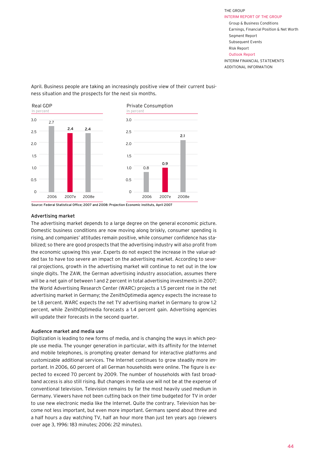April. Business people are taking an increasingly positive view of their current business situation and the prospects for the next six months.



Source: Federal Statistical Office; 2007 and 2008: Projection Economic instituts, April 2007

#### Advertising market

The advertising market depends to a large degree on the general economic picture. Domestic business conditions are now moving along briskly, consumer spending is rising, and companies' attitudes remain positive, while consumer confidence has stabilized; so there are good prospects that the advertising industry will also profit from the economic upswing this year. Experts do not expect the increase in the value-added tax to have too severe an impact on the advertising market. According to several projections, growth in the advertising market will continue to net out in the low single digits. The ZAW, the German advertising industry association, assumes there will be a net gain of between 1 and 2 percent in total advertising investments in 2007; the World Advertising Research Center (WARC) projects a 1.5 percent rise in the net advertising market in Germany; the ZenithOptimedia agency expects the increase to be 1.8 percent. WARC expects the net TV advertising market in Germany to grow 1.2 percent, while ZenithOptimedia forecasts a 1.4 percent gain. Advertising agencies will update their forecasts in the second quarter.

#### Audience market and media use

Digitization is leading to new forms of media, and is changing the ways in which people use media. The younger generation in particular, with its affinity for the Internet and mobile telephones, is prompting greater demand for interactive platforms and customizable additional services. The Internet continues to grow steadily more important. In 2006, 60 percent of all German households were online. The figure is expected to exceed 70 percent by 2009. The number of households with fast broadband access is also still rising. But changes in media use will not be at the expense of conventional television. Television remains by far the most heavily used medium in Germany. Viewers have not been cutting back on their time budgeted for TV in order to use new electronic media like the Internet. Quite the contrary. Television has become not less important, but even more important. Germans spend about three and a half hours a day watching TV, half an hour more than just ten years ago (viewers over age 3, 1996: 183 minutes; 2006: 212 minutes).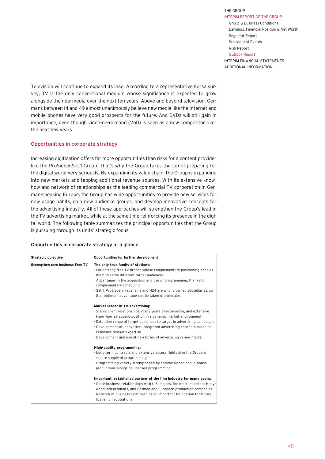ADDITIONAL INFORMATION

Television will continue to expand its lead. According to a representative Forsa survey, TV is the only conventional medium whose significance is expected to grow alongside the new media over the next ten years. Above and beyond television, Germans between 14 and 49 almost unanimously believe new media like the Internet and mobile phones have very good prospects for the future. And DVDs will still gain in importance, even though video-on-demand (VoD) is seen as a new competitor over the next few years.

#### Opportunities in corporate strategy

Increasing digitization offers far more opportunities than risks for a content provider like the ProSiebenSat.1 Group. That's why the Group takes the job of preparing for the digital world very seriously. By expanding its value chain, the Group is expanding into new markets and tapping additional revenue sources. With its extensive knowhow and network of relationships as the leading commercial TV corporation in German-speaking Europe, the Group has wide opportunities to provide new services for new usage habits, gain new audience groups, and develop innovative concepts for the advertising industry. All of these approaches will strengthen the Group's lead in the TV advertising market, while at the same time reinforcing its presence in the digital world. The following table summarizes the principal opportunities that the Group is pursuing through its units' strategic focus:

#### Opportunities in corporate strategy at a glance

| Strategic objective              | Opportunities for further development                                                                                                                                                                                                                                                                                                                                                                                                                                                                                                                                        |
|----------------------------------|------------------------------------------------------------------------------------------------------------------------------------------------------------------------------------------------------------------------------------------------------------------------------------------------------------------------------------------------------------------------------------------------------------------------------------------------------------------------------------------------------------------------------------------------------------------------------|
| Strengthen core business Free TV | The only true family of stations:<br>- Four strong free TV brands whose complementary positioning enables<br>them to serve different target audiences<br>- Advantages in the acquisition and use of programming, thanks to<br>complementary scheduling<br>- Sat.1, ProSieben, kabel eins and N24 are wholly-owned subsidiaries, so<br>that optimum advantage can be taken of synergies                                                                                                                                                                                       |
|                                  | Market leader in TV advertising:<br>- Stable client relationships, many years of experience, and extensive<br>know-how safequard position in a dynamic market environment<br>- Extensive range of target audiences to target in advertising campaigns<br>- Development of innovative, integrated advertising concepts based on<br>extensive market expertise<br>- Development and use of new forms of advertising in new media                                                                                                                                               |
|                                  | High-quality programming:<br>- Long-term contracts and extensive access rights give the Group a<br>secure supply of programming<br>- Programming variety strengthened by commissioned and in-house<br>productions alongside licensed programming<br>Important, established partner of the film industry for many years:<br>- Close business relationships with U.S. majors, the most important Holly-<br>wood independents, and German and European production companies<br>- Network of business relationships an important foundation for future<br>licensing negotiations |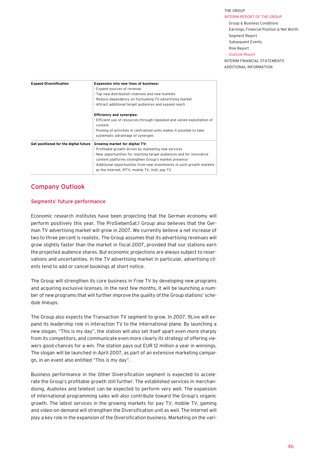#### INTERIM REPORT of THE GROUP

Group & Business Conditions Earnings, Financial Position & Net Worth Segment Report Subsequent Events

#### Risk Report

Outlook Report INTERIM FINANCIAL STATEMENTS

ADDITIONAL INFORMATION

<span id="page-44-0"></span>

| <b>Expand Diversification</b>         | Expansion into new lines of business:<br>- Expand sources of revenue<br>- Tap new distribution channels and new markets<br>- Reduce dependency on fluctuating TV advertising market<br>- Attract additional target audiences and expand reach                                                                                                     |  |  |  |
|---------------------------------------|---------------------------------------------------------------------------------------------------------------------------------------------------------------------------------------------------------------------------------------------------------------------------------------------------------------------------------------------------|--|--|--|
|                                       | <b>Efficiency and synergies:</b><br>- Efficient use of resources through repeated and varied exploitation of<br>content<br>- Pooling of activities in centralized units makes it possible to take<br>systematic advantage of synergies                                                                                                            |  |  |  |
| Get positioned for the digital future | Growing market for digital TV:<br>- Profitable growth driven by marketing new services<br>- New opportunities for reaching target audiences and for innovative<br>content platforms strengthen Group's market presence<br>- Additional opportunities from new investments in such growth markets<br>as the Internet, IPTV, mobile TV, VoD, pay TV |  |  |  |

## Company Outlook

#### Segments' future performance

Economic research institutes have been projecting that the German economy will perform positively this year. The ProSiebenSat.1 Group also believes that the German TV advertising market will grow in 2007. We currently believe a net increase of two to three percent is realistic. The Group assumes that its advertising revenues will grow slightly faster than the market in fiscal 2007, provided that our stations earn the projected audience shares. But economic projections are always subject to reservations and uncertainties. In the TV advertising market in particular, advertising clients tend to add or cancel bookings at short notice.

The Group will strengthen its core business in Free TV by developing new programs and acquiring exclusive licenses. In the next few months, it will be launching a number of new programs that will further improve the quality of the Group stations' schedule lineups.

The Group also expects the Transaction TV segment to grow. In 2007, 9Live will expand its leadership role in interaction TV to the international plane. By launching a new slogan, "This is my day", the station will also set itself apart even more sharply from its competitors, and communicate even more clearly its strategy of offering viewers good chances for a win. The station pays out EUR 12 million a year in winnings. The slogan will be launched in April 2007, as part of an extensive marketing campaign, in an event also entitled "This is my day".

Business performance in the Other Diversification segment is expected to accelerate the Group's profitable growth still further. The established services in merchandising, Audiotex and teletext can be expected to perform very well. The expansion of international programming sales will also contribute toward the Group's organic growth. The latest services in the growing markets for pay TV, mobile TV, gaming and video-on-demand will strengthen the Diversification unit as well. The Internet will play a key role in the expansion of the Diversification business. Marketing on the vari-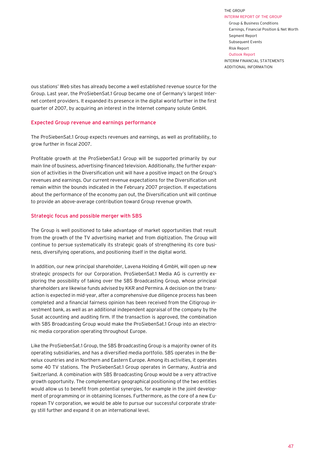ADDITIONAL INFORMATION

ous stations' Web sites has already become a well established revenue source for the Group. Last year, the ProSiebenSat.1 Group became one of Germany's largest Internet content providers. It expanded its presence in the digital world further in the first quarter of 2007, by acquiring an interest in the Internet company solute GmbH.

#### Expected Group revenue and earnings performance

The ProSiebenSat.1 Group expects revenues and earnings, as well as profitability, to grow further in fiscal 2007.

Profitable growth at the ProSiebenSat.1 Group will be supported primarily by our main line of business, advertising-financed television. Additionally, the further expansion of activities in the Diversification unit will have a positive impact on the Group's revenues and earnings. Our current revenue expectations for the Diversification unit remain within the bounds indicated in the February 2007 projection. If expectations about the performance of the economy pan out, the Diversification unit will continue to provide an above-average contribution toward Group revenue growth.

#### Strategic focus and possible merger with SBS

The Group is well positioned to take advantage of market opportunities that result from the growth of the TV advertising market and from digitization. The Group will continue to persue systematically its strategic goals of strengthening its core business, diversifying operations, and positioning itself in the digital world.

In addition, our new principal shareholder, Lavena Holding 4 GmbH, will open up new strategic prospects for our Corporation. ProSiebenSat.1 Media AG is currently exploring the possibility of taking over the SBS Broadcasting Group, whose principal shareholders are likewise funds advised by KKR and Permira. A decision on the transaction is expected in mid-year, after a comprehensive due diligence process has been completed and a financial fairness opinion has been received from the Citigroup investment bank, as well as an additional independent appraisal of the company by the Susat accounting and auditing firm. If the transaction is approved, the combination with SBS Broadcasting Group would make the ProSiebenSat.1 Group into an electronic media corporation operating throughout Europe.

Like the ProSiebenSat.1 Group, the SBS Broadcasting Group is a majority owner of its operating subsidiaries, and has a diversified media portfolio. SBS operates in the Benelux countries and in Northern and Eastern Europe. Among its activities, it operates some 40 TV stations. The ProSiebenSat.1 Group operates in Germany, Austria and Switzerland. A combination with SBS Broadcasting Group would be a very attractive growth opportunity. The complementary geographical positioning of the two entities would allow us to benefit from potential synergies, for example in the joint development of programming or in obtaining licenses. Furthermore, as the core of a new European TV corporation, we would be able to pursue our successful corporate strategy still further and expand it on an international level.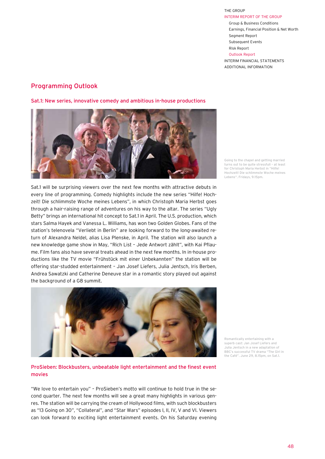ADDITIONAL INFORMATION

## Programming Outlook

Sat.1: New series, innovative comedy and ambitious in-house productions



Going to the chapel and getting married turns out to be quite stressfull – at least for Christoph Maria Herbst in "Hilfe! Hochzeit! Die schlimmste Woche meines Lebens". Fridays, 9.15pm.

Sat.1 will be surprising viewers over the next few months with attractive debuts in every line of programming. Comedy highlights include the new series "Hilfe! Hochzeit! Die schlimmste Woche meines Lebens", in which Christoph Maria Herbst goes through a hair-raising range of adventures on his way to the altar. The series "Ugly Betty" brings an international hit concept to Sat.1 in April. The U.S. production, which stars Salma Hayek and Vanessa L. Williams, has won two Golden Globes. Fans of the station's telenovela "Verliebt in Berlin" are looking forward to the long-awaited return of Alexandra Neldel, alias Lisa Plenske, in April. The station will also launch a new knowledge game show in May, "Rich List – Jede Antwort zählt", with Kai Pflaume. Film fans also have several treats ahead in the next few months. In in-house productions like the TV movie "Frühstück mit einer Unbekannten" the station will be offering star-studded entertainment – Jan Josef Liefers, Julia Jentsch, Iris Berben, Andrea Sawatzki and Catherine Deneuve star in a romantic story played out against the background of a G8 summit.



ProSieben: Blockbusters, unbeatable light entertainment and the finest event movies

"We love to entertain you" – ProSieben's motto will continue to hold true in the second quarter. The next few months will see a great many highlights in various genres. The station will be carrying the cream of Hollywood films, with such blockbusters as "13 Going on 30", "Collateral", and "Star Wars" episodes I, II, IV, V and VI. Viewers can look forward to exciting light entertainment events. On his Saturday evening Romantically entertaining with a superb cast: Jan Josef Liefers and Julia Jentsch in a new adaptation of BBC's successful TV drama "The Girl in the Café". June 29, 8.15pm, on Sat.1.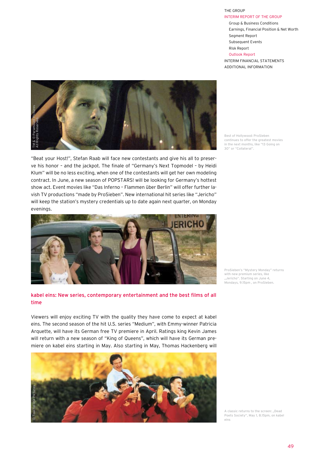INTERIM REPORT of THE GROUP

Group & Business Conditions Earnings, Financial Position & Net Worth Segment Report Subsequent Events Risk Report

#### Outlook Report

INTERIM FINANCIAL STATEMENTS ADDITIONAL INFORMATION



"Beat your Host!", Stefan Raab will face new contestants and give his all to preserve his honor – and the jackpot. The finale of "Germany's Next Topmodel – by Heidi Klum" will be no less exciting, when one of the contestants will get her own modeling contract. In June, a new season of POPSTARS! will be looking for Germany's hottest show act. Event movies like "Das Inferno – Flammen über Berlin" will offer further lavish TV productions "made by ProSieben". New international hit series like "Jericho" will keep the station's mystery credentials up to date again next quarter, on Monday evenings.



#### kabel eins: New series, contemporary entertainment and the best films of all time

Viewers will enjoy exciting TV with the quality they have come to expect at kabel eins. The second season of the hit U.S. series "Medium", with Emmy-winner Patricia Arquette, will have its German free TV premiere in April. Ratings king Kevin James will return with a new season of "King of Queens", which will have its German premiere on kabel eins starting in May. Also starting in May, Thomas Hackenberg will



Best of Hollywood: ProSieben continues to offer the greatest movies in the next months, like "13 Going on 30" or "Collateral".

ProSieben's "Mystery Monday" returns with new premium series, like "Jericho". Starting on June 4 Mondays, 9.15pm , on ProSieben.

A classic returns to the screen: "Dead Poets Society", May 1, 8.15pm, on kabel eins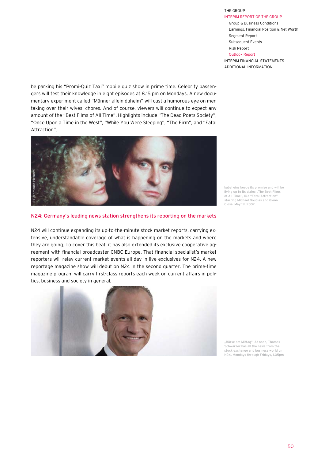ADDITIONAL INFORMATION

be parking his "Promi-Quiz Taxi" mobile quiz show in prime time. Celebrity passengers will test their knowledge in eight episodes at 8.15 pm on Mondays. A new documentary experiment called "Männer allein daheim" will cast a humorous eye on men taking over their wives' chores. And of course, viewers will continue to expect any amount of the "Best Films of All Time". Highlights include "The Dead Poets Society", "Once Upon a Time in the West", "While You Were Sleeping", "The Firm", and "Fatal Attraction".



#### N24: Germany's leading news station strengthens its reporting on the markets

N24 will continue expanding its up-to-the-minute stock market reports, carrying extensive, understandable coverage of what is happening on the markets and where they are going. To cover this beat, it has also extended its exclusive cooperative agreement with financial broadcaster CNBC Europe. That financial specialist's market reporters will relay current market events all day in live exclusives for N24. A new reportage magazine show will debut on N24 in the second quarter. The prime-time magazine program will carry first-class reports each week on current affairs in polithe secondary of the society in general.<br>
The secondary of the society of the society of the society of the society of the society are going. To cover this beat, it reement with financial broadcaster reporters will relay c



kabel eins keeps its promise and will be living up to its claim: ..The Best Films of All Time", like "Fatal Attraction" starring Michael Douglas and Glenn Close. May 19, 2007.

, Börse am Mittag": At noon, Thomas Schwarzer has all the news from the stock exchange and business world on N24. Mondays through Fridays, 1.05pm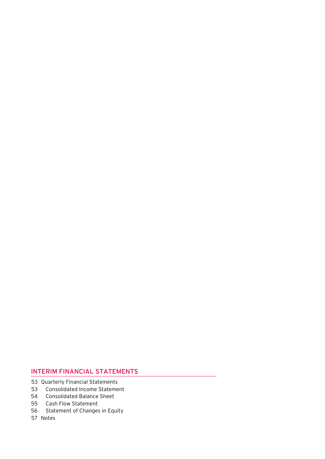## INTERIM FINANCIAL STATEMENTS

- 53 Quarterly Financial Statements
- Consolidated Income Statement 53
- Consolidated Balance Sheet 54
- Cash Flow Statement 55
- 56 Statement of Changes in Equity
- 57 Notes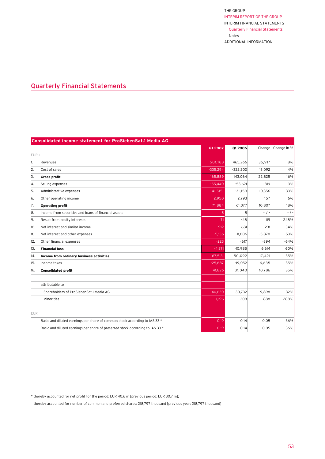## <span id="page-51-0"></span>Quarterly Financial Statements

|            | <b>Consolidated income statement for ProSiebenSat.1 Media AG</b>              |            |            |           |             |
|------------|-------------------------------------------------------------------------------|------------|------------|-----------|-------------|
|            |                                                                               | 01 2007    | 01 2006    | Change    | Change in % |
| EUR k      |                                                                               |            |            |           |             |
| 1.         | Revenues                                                                      | 501,183    | 465,266    | 35,917    | 8%          |
| 2.         | Cost of sales                                                                 | $-335,294$ | $-322.202$ | 13,092    | 4%          |
| 3.         | Gross profit                                                                  | 165,889    | 143,064    | 22,825    | 16%         |
| 4.         | Selling expenses                                                              | $-55,440$  | $-53,621$  | 1,819     | 3%          |
| 5.         | Administrative expenses                                                       | $-41,515$  | $-31,159$  | 10,356    | 33%         |
| 6.         | Other operating income                                                        | 2,950      | 2,793      | 157       | 6%          |
| 7.         | <b>Operating profit</b>                                                       | 71,884     | 61,077     | 10,807    | 18%         |
| 8.         | Income from securities and loans of financial assets                          | 5          | 5          | $-$ / $-$ | $-$ / $-$   |
| 9.         | Result from equity interests                                                  | 71         | $-48$      | 119       | 248%        |
| 10.        | Net interest and similar income                                               | 912        | 681        | 231       | 34%         |
| 11.        | Net interest and other expenses                                               | $-5,136$   | $-11,006$  | $-5,870$  | $-53%$      |
| 12.        | Other financial expenses                                                      | $-223$     | $-617$     | $-394$    | $-64%$      |
| 13.        | <b>Financial loss</b>                                                         | $-4,371$   | $-10.985$  | 6,614     | 60%         |
| 14.        | Income from ordinary business activities                                      | 67,513     | 50,092     | 17,421    | 35%         |
| 15.        | Income taxes                                                                  | $-25,687$  | $-19,052$  | 6,635     | 35%         |
| 16.        | <b>Consolidated profit</b>                                                    | 41,826     | 31,040     | 10,786    | 35%         |
|            |                                                                               |            |            |           |             |
|            | attributable to                                                               |            |            |           |             |
|            | Shareholders of ProSiebenSat.1 Media AG                                       | 40,630     | 30,732     | 9,898     | 32%         |
|            | Minorities                                                                    | 1,196      | 308        | 888       | 288%        |
|            |                                                                               |            |            |           |             |
| <b>EUR</b> |                                                                               |            |            |           |             |
|            | Basic and diluted earnings per share of common stock according to IAS 33 *    | 0.19       | 0.14       | 0.05      | 36%         |
|            | Basic and diluted earnings per share of preferred stock according to IAS 33 * | 0.19       | 0.14       | 0.05      | 36%         |

\* thereby accounted for net profit for the period: EUR 40.6 m [previous period: EUR 30.7 m];

thereby accounted for number of common and preferred shares: 218,797 thousand [previous year: 218,797 thousand]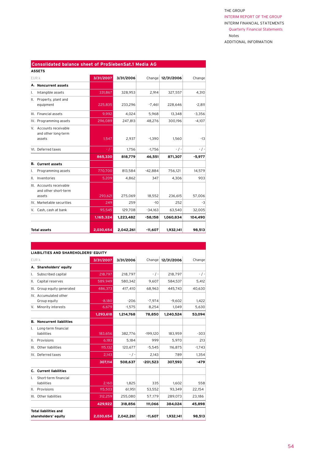|       | <b>Consolidated balance sheet of ProSiebenSat.1 Media AG</b> |           |           |           |                   |           |  |  |
|-------|--------------------------------------------------------------|-----------|-----------|-----------|-------------------|-----------|--|--|
|       | <b>ASSETS</b>                                                |           |           |           |                   |           |  |  |
| EUR k |                                                              | 3/31/2007 | 3/31/2006 |           | Change 12/31/2006 | Change    |  |  |
|       | A. Noncurrent assets                                         |           |           |           |                   |           |  |  |
| Ι.    | Intangible assets                                            | 331,867   | 328,953   | 2,914     | 327,557           | 4,310     |  |  |
| Ш.    | Property, plant and<br>equipment                             | 225,835   | 233,296   | $-7,461$  | 228,646           | $-2,811$  |  |  |
|       | III. Financial assets                                        | 9,992     | 4,024     | 5,968     | 13,348            | $-3,356$  |  |  |
|       | IV. Programming assets                                       | 296,089   | 247,813   | 48,276    | 300,196           | $-4,107$  |  |  |
|       | V. Accounts receivable<br>and other long-term<br>assets      | 1,547     | 2,937     | $-1,390$  | 1,560             | $-13$     |  |  |
|       | VI. Deferred taxes                                           | - / -     | 1,756     | $-1,756$  | $-$ / $-$         | $-$ / $-$ |  |  |
|       |                                                              | 865,330   | 818,779   | 46,551    | 871,307           | $-5.977$  |  |  |
|       | <b>B.</b> Current assets                                     |           |           |           |                   |           |  |  |
| ı.    | Programming assets                                           | 770,700   | 813,584   | $-42,884$ | 756,121           | 14,579    |  |  |
| Ш.    | Inventories                                                  | 5,209     | 4,862     | 347       | 4,306             | 903       |  |  |
|       | III. Accounts receivable<br>and other short-term<br>assets   | 293,621   | 275,069   | 18,552    | 236,615           | 57,006    |  |  |
|       | IV. Marketable securities                                    | 249       | 259       | $-10$     | 252               | -3        |  |  |
|       | V. Cash, cash at bank                                        | 95,545    | 129,708   | $-34,163$ | 63,540            | 32,005    |  |  |
|       |                                                              | 1,165,324 | 1,223,482 | $-58,158$ | 1,060,834         | 104,490   |  |  |
|       | <b>Total assets</b>                                          | 2,030,654 | 2,042,261 | $-11,607$ | 1,932,141         | 98,513    |  |  |

|       | LIABILITIES AND SHAREHOLDERS' EQUITY          |           |           |            |                   |           |
|-------|-----------------------------------------------|-----------|-----------|------------|-------------------|-----------|
| EUR k |                                               | 3/31/2007 | 3/31/2006 |            | Change 12/31/2006 | Change    |
|       | A. Shareholders' equity                       |           |           |            |                   |           |
| Ι.    | Subscribed capital                            | 218,797   | 218,797   | $-$ / $-$  | 218,797           | $-$ / $-$ |
| ΙΙ.   | Capital reserves                              | 589,949   | 580,342   | 9,607      | 584,537           | 5,412     |
|       | III. Group equity generated                   | 486,373   | 417,410   | 68,963     | 445,743           | 40,630    |
|       | IV. Accumulated other<br>Group equity         | $-8,180$  | $-206$    | $-7,974$   | $-9,602$          | 1,422     |
|       | V. Minority interests                         | 6,679     | $-1,575$  | 8,254      | 1,049             | 5,630     |
|       |                                               | 1,293,618 | 1.214.768 | 78,850     | 1.240.524         | 53,094    |
| В.    | <b>Noncurrent liabilities</b>                 |           |           |            |                   |           |
| Ι.    | Long-term financial<br>liabilities            | 183,656   | 382,776   | $-199,120$ | 183,959           | $-303$    |
| Ш.    | Provisions                                    | 6,183     | 5,184     | 999        | 5,970             | 213       |
|       | III. Other liabilities                        | 115,132   | 120,677   | $-5,545$   | 116,875           | $-1,743$  |
|       | IV. Deferred taxes                            | 2,143     | $-$ / $-$ | 2,143      | 789               | 1,354     |
|       |                                               | 307,114   | 508.637   | $-201,523$ | 307.593           | $-479$    |
|       | C. Current liabilities                        |           |           |            |                   |           |
| Ι.    | Short-term financial<br>liabilities           | 2,160     | 1,825     | 335        | 1,602             | 558       |
| Ш.    | Provisions                                    | 115,503   | 61,951    | 53,552     | 93,349            | 22,154    |
|       | III. Other liabilities                        | 312,259   | 255,080   | 57,179     | 289,073           | 23,186    |
|       |                                               | 429,922   | 318,856   | 111,066    | 384,024           | 45,898    |
|       | Total liabilities and<br>shareholders' equity | 2,030,654 | 2.042.261 | $-11,607$  | 1,932,141         | 98,513    |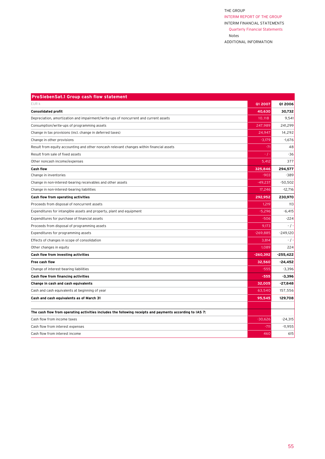| <b>ProSiebenSat.1 Group cash flow statement</b>                                                          |            |            |
|----------------------------------------------------------------------------------------------------------|------------|------------|
| EUR k                                                                                                    | 01 2007    | Q1 2006    |
| <b>Consolidated profit</b>                                                                               | 40.630     | 30,732     |
| Depreciation, amortization and impairment/write-ups of noncurrent and current assets                     | 10,118     | 9,541      |
| Consumption/write-ups of programming assets                                                              | 247,989    | 241,299    |
| Change in tax provisions (incl. change in deferred taxes)                                                | 24,947     | 14,292     |
| Change in other provisions                                                                               | $-3,179$   | $-1,676$   |
| Result from equity accounting and other noncash relevant changes within financial assets                 | $-71$      | 48         |
| Result from sale of fixed assets                                                                         | - / -      | $-36$      |
| Other noncash income/expenses                                                                            | 5,412      | 377        |
| <b>Cash flow</b>                                                                                         | 325,846    | 294,577    |
| Change in inventories                                                                                    | $-903$     | $-389$     |
| Change in non-interest-bearing receivables and other assets                                              | $-49,237$  | $-50,502$  |
| Change in non-interest-bearing liabilities                                                               | 17,246     | $-12,716$  |
| Cash flow from operating activities                                                                      | 292,952    | 230,970    |
| Proceeds from disposal of noncurrent assets                                                              | 1,219      | 113        |
| Expenditures for intangible assets and property, plant and equipment                                     | $-5,296$   | $-6,415$   |
| Expenditures for purchase of financial assets                                                            | $-506$     | $-224$     |
| Proceeds from disposal of programming assets                                                             | 9,173      | $-$ / $-$  |
| Expenditures for programming assets                                                                      | $-269,885$ | $-249,120$ |
| Effects of changes in scope of consolidation                                                             | 3,814      | $-$ / $-$  |
| Other changes in equity                                                                                  | 1,089      | 224        |
| Cash flow from investing activities                                                                      | $-260,392$ | $-255,422$ |
| <b>Free cash flow</b>                                                                                    | 32,560     | $-24,452$  |
| Change of interest-bearing liabilities                                                                   | $-555$     | $-3,396$   |
| Cash flow from financing activities                                                                      | $-555$     | $-3,396$   |
| Change in cash and cash equivalents                                                                      | 32,005     | $-27,848$  |
| Cash and cash equivalents at beginning of year                                                           | 63,540     | 157,556    |
| Cash and cash equivalents as of March 31                                                                 | 95,545     | 129,708    |
|                                                                                                          |            |            |
| The cash flow from operating activities includes the following receipts and payments according to IAS 7: |            |            |
| Cash flow from income taxes                                                                              | $-30,626$  | $-24,315$  |
| Cash flow from interest expenses                                                                         | $-711$     | $-11,955$  |
| Cash flow from interest income                                                                           | 460        | 615        |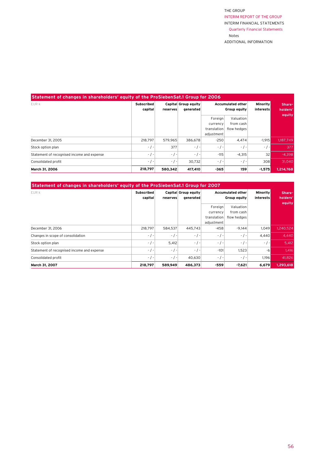| Statement of changes in shareholders' equity of the ProSiebenSat.1 Group for 2006 |                              |           |                                   |                                                  |                                       |                              |                    |
|-----------------------------------------------------------------------------------|------------------------------|-----------|-----------------------------------|--------------------------------------------------|---------------------------------------|------------------------------|--------------------|
| EUR k                                                                             | <b>Subscribed</b><br>capital | reserves  | Capital Group equity<br>generated | <b>Accumulated other</b><br>Group equity         |                                       | <b>Minority</b><br>interests | Share-<br>holders' |
|                                                                                   |                              |           |                                   | Foreign<br>currency<br>translation<br>adjustment | Valuation<br>from cash<br>flow hedges |                              | equity             |
| December 31, 2005                                                                 | 218.797                      | 579.965   | 386.678                           | $-250$                                           | 4.474                                 | $-1,915$                     | 1,187,749          |
| Stock option plan                                                                 | $-$ / $-$                    | 377       | $-$ / $-$                         | $-$ / $-$                                        | $-$ / $-$                             | $-$ / $-$                    | 377                |
| Statement of recognised income and expense                                        | $-$ / $-$                    | $-1$      | $-$ / $-$                         | $-115$                                           | $-4,315$                              | 32                           | $-4,398$           |
| Consolidated profit                                                               | $-$ / $-$                    | $-$ / $-$ | 30.732                            | $-$ / $-$                                        | $-$ / $-$                             | 308                          | 31.040             |
| March 31, 2006                                                                    | 218,797                      | 580.342   | 417,410                           | $-365$                                           | 159                                   | $-1,575$                     | 1,214,768          |

| Statement of changes in shareholders' equity of the ProSiebenSat.1 Group for 2007 |                   |             |                      |                                   |                        |                  |           |
|-----------------------------------------------------------------------------------|-------------------|-------------|----------------------|-----------------------------------|------------------------|------------------|-----------|
| EUR k                                                                             | <b>Subscribed</b> |             | Capital Group equity | Accumulated other<br>Group equity |                        | <b>Minority</b>  | Share-    |
|                                                                                   | capital           | reserves    | generated            |                                   |                        | <i>interests</i> | holders'  |
|                                                                                   |                   |             |                      | Foreign<br>currency               | Valuation<br>from cash |                  | equity    |
|                                                                                   |                   |             |                      | translation<br>adjustment         | flow hedges            |                  |           |
| December 31, 2006                                                                 | 218,797           | 584,537     | 445.743              | $-458$                            | $-9.144$               | 1,049            | 1,240,524 |
| Changes in scope of consolidation                                                 | $-$ / $-$         | $-$ / $-$   | $-$ / $-$            | $-$ / $-$                         | $-$ / $-$              | 4,440            | 4,440     |
| Stock option plan                                                                 | $-$ / $-$         | 5,412       | $-$ / $-$            | $-$ / $-$                         | $-$ / $-$              | $-$ / $-$        | 5,412     |
| Statement of recognised income and expense                                        | $-$ / $-$         | $-$ / $-$ 1 | $-$ / $-$            | $-101$                            | 1,523                  | -6               | 1,416     |
| Consolidated profit                                                               | $-$ / $-$         | $-$ / $-$   | 40,630               | $-$ / $-$                         | $-$ / $-$              | 1,196            | 41,826    |
| March 31, 2007                                                                    | 218.797           | 589,949     | 486.373              | $-559$                            | $-7,621$               | 6,679            | 1,293,618 |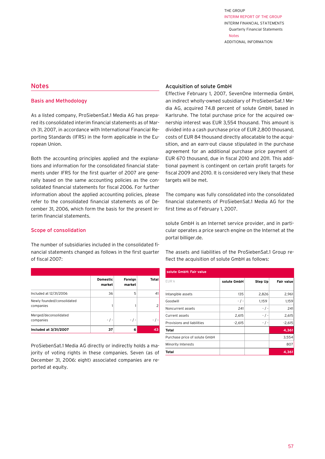## <span id="page-55-0"></span>Notes

#### Basis and Methodology

As a listed company, ProSiebenSat.1 Media AG has prepared its consolidated interim financial statements as of March 31, 2007, in accordance with International Financial Reporting Standards (IFRS) in the form applicable in the European Union.

Both the accounting principles applied and the explanations and information for the consolidated financial statements under IFRS for the first quarter of 2007 are generally based on the same accounting policies as the consolidated financial statements for fiscal 2006. For further information about the applied accounting policies, please refer to the consolidated financial statements as of December 31, 2006, which form the basis for the present interim financial statements.

#### Scope of consolidation

The number of subsidiaries included in the consolidated financial statements changed as follows in the first quarter of fiscal 2007:

|                                         | <b>Domestic</b><br>market | Foreign<br>market | Total |
|-----------------------------------------|---------------------------|-------------------|-------|
| Included at 12/31/2006                  | 36                        | 5                 | 41    |
| Newly founded/consolidated<br>companies |                           |                   |       |
| Merged/deconsolidated<br>companies      |                           | - / -             |       |
| Included at 3/31/2007                   | 37                        | 6                 | 43    |

ProSiebenSat.1 Media AG directly or indirectly holds a majority of voting rights in these companies. Seven (as of December 31, 2006: eight) associated companies are reported at equity.

#### Acquisition of solute GmbH

Effective February 1, 2007, SevenOne Intermedia GmbH, an indirect wholly-owned subsidiary of ProSiebenSat.1 Media AG, acquired 74.8 percent of solute GmbH, based in Karlsruhe. The total purchase price for the acquired ownership interest was EUR 3,554 thousand. This amount is divided into a cash purchase price of EUR 2,800 thousand, costs of EUR 84 thousand directly allocatable to the acquisition, and an earn-out clause stipulated in the purchase agreement for an additional purchase price payment of EUR 670 thousand, due in fiscal 2010 and 2011. This additional payment is contingent on certain profit targets for fiscal 2009 and 2010. It is considered very likely that these targets will be met.

The company was fully consolidated into the consolidated financial statements of ProSiebenSat.1 Media AG for the first time as of February 1, 2007.

solute GmbH is an Internet service provider, and in particular operates a price search engine on the Internet at the portal billiger.de.

The assets and liabilities of the ProSiebenSat.1 Group reflect the acquisition of solute GmbH as follows:

| solute GmbH: Fair value       |             |           |                   |  |  |  |  |
|-------------------------------|-------------|-----------|-------------------|--|--|--|--|
| EUR k                         | solute GmbH | Step Up   | <b>Fair value</b> |  |  |  |  |
| Intangible assets             | 135         | 2,826     | 2,961             |  |  |  |  |
| Goodwill                      | $-$ / $-$   | 1,159     | 1,159             |  |  |  |  |
| Noncurrent assets             | 241         | - / -     | 241               |  |  |  |  |
| Current assets                | 2,615       | $-$ / $-$ | 2,615             |  |  |  |  |
| Provisions and liabilities    | $-2,615$    | - / -     | $-2,615$          |  |  |  |  |
| Total                         |             |           | 4,361             |  |  |  |  |
| Purchase price of solute GmbH |             |           | 3,554             |  |  |  |  |
| Minority Interests            |             |           | 807               |  |  |  |  |
| Total                         |             |           | 4,361             |  |  |  |  |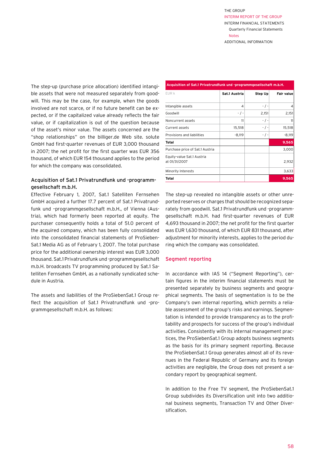The step-up (purchase price allocation) identified intangible assets that were not measured separately from goodwill. This may be the case, for example, when the goods involved are not scarce, or if no future benefit can be expected, or if the capitalized value already reflects the fair value, or if capitalization is out of the question because of the asset's minor value. The assets concerned are the "shop relationships" on the billiger.de Web site. solute GmbH had first-quarter revenues of EUR 3,000 thousand in 2007; the net profit for the first quarter was EUR 356 thousand, of which EUR 154 thousand applies to the period for which the company was consolidated.

## Acquisition of Sat.1 Privatrundfunk und -programmgesellschaft m.b.H.

Effective February 1, 2007, Sat.1 Satelliten Fernsehen GmbH acquired a further 17.7 percent of Sat.1 Privatrundfunk und –programmgesellschaft m.b.H., of Vienna (Austria), which had formerly been reported at equity. The purchaser consequently holds a total of 51.0 percent of the acquired company, which has been fully consolidated into the consolidated financial statements of ProSieben-Sat.1 Media AG as of February 1, 2007. The total purchase price for the additional ownership interest was EUR 3,000 thousand. Sat.1 Privatrundfunk und -programmgesellschaft m.b.H. broadcasts TV programming produced by Sat.1 Satelliten Fernsehen GmbH, as a nationally syndicated schedule in Austria.

The assets and liabilities of the ProSiebenSat.1 Group reflect the acquisition of Sat.1 Privatrundfunk und -programmgesellschaft m.b.H. as follows:

| Acquisition of Sat.1 Privatrundfunk und -programmgesellschaft m.b.H. |               |           |                   |  |  |  |  |
|----------------------------------------------------------------------|---------------|-----------|-------------------|--|--|--|--|
| EUR k                                                                | Sat.1 Austria | Step Up   | <b>Fair value</b> |  |  |  |  |
| Intangible assets                                                    | 4             | $-$ / $-$ | 4                 |  |  |  |  |
| Goodwill                                                             | - / -         | 2,151     | 2,151             |  |  |  |  |
| Noncurrent assets                                                    | 11            | $-$ / $-$ | 11                |  |  |  |  |
| Current assets                                                       | 15,518        | - / -     | 15,518            |  |  |  |  |
| Provisions and liabilities                                           | $-8,119$      | $-$ / $-$ | $-8,119$          |  |  |  |  |
| Total                                                                |               |           | 9,565             |  |  |  |  |
| Purchase price of Sat.1 Austria                                      |               |           | 3,000             |  |  |  |  |
| Equity-value Sat.1 Austria<br>at 01/31/2007                          |               |           | 2,932             |  |  |  |  |
| Minority Interests                                                   |               |           | 3,633             |  |  |  |  |
| Total                                                                |               |           | 9,565             |  |  |  |  |

The step-up revealed no intangible assets or other unreported reserves or charges that should be recognized separately from goodwill. Sat.1 Privatrundfunk und -programmgesellschaft m.b.H. had first-quarter revenues of EUR 4,693 thousand in 2007; the net profit for the first quarter was EUR 1,630 thousand, of which EUR 831 thousand, after adjustment for minority interests, applies to the period during which the company was consolidated.

#### Segment reporting

In accordance with IAS 14 ("Segment Reporting"), certain figures in the interim financial statements must be presented separately by business segments and geographical segments. The basis of segmentation is to be the Company's own internal reporting, which permits a reliable assessment of the group's risks and earnings. Segmentation is intended to provide transparency as to the profitability and prospects for success of the group's individual activities. Consistently with its internal management practices, the ProSiebenSat.1 Group adopts business segments as the basis for its primary segment reporting. Because the ProSiebenSat.1 Group generates almost all of its revenues in the Federal Republic of Germany and its foreign activities are negligible, the Group does not present a secondary report by geographical segment.

In addition to the Free TV segment, the ProSiebenSat.1 Group subdivides its Diversification unit into two additional business segments, Transaction TV and Other Diversification.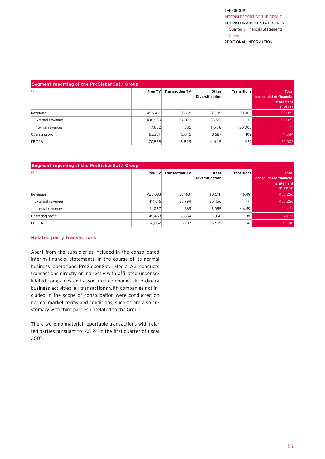| Segment reporting of the ProSiebenSat.1 Group |         |                       |                                 |                    |                                                                       |  |  |
|-----------------------------------------------|---------|-----------------------|---------------------------------|--------------------|-----------------------------------------------------------------------|--|--|
| EUR k                                         | Free TV | <b>Transaction TV</b> | Other<br><b>Diversification</b> | <b>Transitions</b> | <b>Total</b><br><b>consolidated financial</b><br>statement<br>Q1 2007 |  |  |
| Revenues                                      | 456.411 | 27,658                | 37,119                          | $-20.005$          | 501,183                                                               |  |  |
| External revenues                             | 438,559 | 27,073                | 35,551                          | $-$ / $-$          | 501,183                                                               |  |  |
| Internal revenues                             | 17.852  | 585                   | 1,568                           | $-20.005$          | $-1-$                                                                 |  |  |
| Operating profit                              | 63,261  | 5,045                 | 3,687                           | $-109$             | 71,884                                                                |  |  |
| EBITDA                                        | 70,588  | 6,899                 | 4,645                           | $-129$             | 82,003                                                                |  |  |

| Segment reporting of the ProSiebenSat.1 Group |         |                       |                                 |                    |                                                                |  |  |
|-----------------------------------------------|---------|-----------------------|---------------------------------|--------------------|----------------------------------------------------------------|--|--|
| EUR k                                         | Free TV | <b>Transaction TV</b> | Other<br><b>Diversification</b> | <b>Transitions</b> | <b>Total</b><br>consolidated financial<br>statement<br>Q1 2006 |  |  |
| Revenues                                      | 425.083 | 26,163                | 30,511                          | $-16.491$          | 465.266                                                        |  |  |
| External revenues                             | 414.016 | 25.794                | 25,456                          | $-$ / $-$          | 465.266                                                        |  |  |
| Internal revenues                             | 11.067  | 369                   | 5.055                           | $-16.491$          | $-1-$                                                          |  |  |
| Operating profit                              | 49,453  | 6,654                 | 5,050                           | $-80$              | 61,077                                                         |  |  |
| <b>EBITDA</b>                                 | 56,052  | 8,797                 | 5,915                           | $-146$             | 70,618                                                         |  |  |

## Related party transactions

Apart from the subsidiaries included in the consolidated interim financial statements, in the course of its normal business operations ProSiebenSat.1 Media AG conducts transactions directly or indirectly with affiliated unconsolidated companies and associated companies. In ordinary business activities, all transactions with companies not included in the scope of consolidation were conducted on normal market terms and conditions, such as are also customary with third parties unrelated to the Group.

There were no material reportable transactions with related parties pursuant to IAS 24 in the first quarter of fiscal 2007.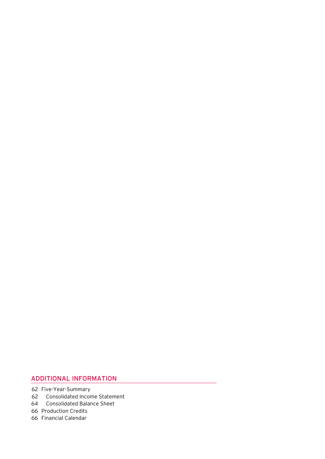## ADDITIONAL INFORMATION

- 62 Five-Year-Summary
- 62 Consolidated Income Statement
	- 64 Consolidated Balance Sheet
	- 66 Production Credits
	- 66 Financial Calendar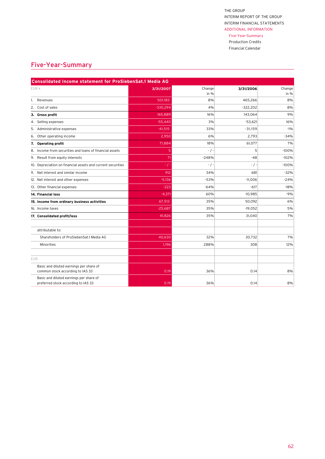## Five-Year-Summary

 Production Credits Financial Calendar

## <span id="page-60-0"></span>Five-Year-Summary

| Consolidated Income statement for ProSiebenSat.1 Media AG                      |            |                  |            |                |  |  |  |
|--------------------------------------------------------------------------------|------------|------------------|------------|----------------|--|--|--|
| EUR k                                                                          | 3/31/2007  | Change<br>in $%$ | 3/31/2006  | Change<br>in % |  |  |  |
| 1. Revenues                                                                    | 501,183    | 8%               | 465,266    | 8%             |  |  |  |
| 2. Cost of sales                                                               | $-335,294$ | 4%               | $-322,202$ | 8%             |  |  |  |
| 3. Gross profit                                                                | 165,889    | 16%              | 143,064    | 9%             |  |  |  |
| 4. Selling expenses                                                            | $-55,440$  | 3%               | $-53,621$  | 16%            |  |  |  |
| Administrative expenses<br>5.                                                  | $-41,515$  | 33%              | $-31,159$  | $-1%$          |  |  |  |
| Other operating income<br>6.                                                   | 2,950      | 6%               | 2,793      | $-34%$         |  |  |  |
| <b>Operating profit</b><br>7.                                                  | 71,884     | 18%              | 61,077     | 7%             |  |  |  |
| 8. Income from securities and loans of financial assets                        | 5          | $-$ / $-$        | 5          | $-100%$        |  |  |  |
| 9. Result from equity interests                                                | 71         | $-248%$          | $-48$      | $-102%$        |  |  |  |
| 10. Depreciation on financial assets and current securities                    | $-$ / $-$  | $-$ / $-$        | $-$ / $-$  | $-100%$        |  |  |  |
| 11. Net interest and similar income                                            | 912        | 34%              | 681        | $-32%$         |  |  |  |
| 12. Net interest and other expenses                                            | $-5,136$   | $-53%$           | $-11,006$  | $-24%$         |  |  |  |
| 13. Other financial expenses                                                   | $-223$     | $-64%$           | $-617$     | $-18%$         |  |  |  |
| 14. Financial loss                                                             | $-4,371$   | 60%              | $-10,985$  | $-9%$          |  |  |  |
| 15. Income from ordinary business activities                                   | 67,513     | 35%              | 50,092     | 6%             |  |  |  |
| 16. Income taxes                                                               | $-25,687$  | 35%              | $-19,052$  | 5%             |  |  |  |
| 17. Consolidated profit/loss                                                   | 41,826     | 35%              | 31,040     | 7%             |  |  |  |
|                                                                                |            |                  |            |                |  |  |  |
| attributable to:                                                               |            |                  |            |                |  |  |  |
| Shareholders of ProSiebenSat.1 Media AG                                        | 40,630     | 32%              | 30,732     | 7%             |  |  |  |
| Minorities                                                                     | 1,196      | 288%             | 308        | 12%            |  |  |  |
|                                                                                |            |                  |            |                |  |  |  |
| <b>EUR</b>                                                                     |            |                  |            |                |  |  |  |
| Basic and diluted earnings per share of<br>common stock according to IAS 33    | 0.19       | 36%              | 0.14       | 8%             |  |  |  |
| Basic and diluted earnings per share of<br>preferred stock according to IAS 33 | 0.19       | 36%              | 0.14       | 8%             |  |  |  |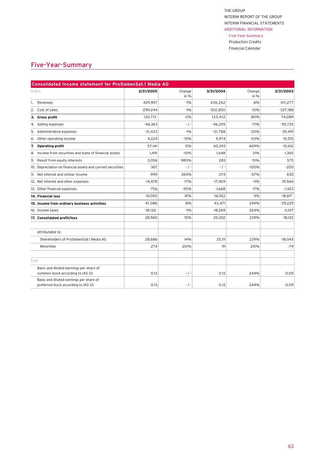#### Five-Year-Summary Production Credits

 Financial Calendar

## Five-Year-Summary

| Consolidated Income statement for ProSiebenSat.1 Media AG                      |            |               |            |            |            |  |  |
|--------------------------------------------------------------------------------|------------|---------------|------------|------------|------------|--|--|
| EUR k                                                                          | 3/31/2005  | Change        | 3/31/2004  | Change     | 3/31/2003  |  |  |
| Revenues<br>1.                                                                 | 429,957    | in %<br>$-1%$ | 436,262    | in %<br>6% | 411,277    |  |  |
| Cost of sales<br>2.                                                            | $-299.244$ | $-1%$         | $-302.850$ | $-10%$     | $-337,188$ |  |  |
| 3. Gross profit                                                                | 130,713    | $-2%$         | 133,412    | 80%        | 74,089     |  |  |
| 4. Selling expenses                                                            | $-46,363$  | $-$ / $-$     | $-46,205$  | $-17%$     | $-55,725$  |  |  |
| Administrative expenses<br>5.                                                  | $-31,433$  | $-1%$         | $-31,788$  | $-20%$     | $-39,491$  |  |  |
| Other operating income<br>6.                                                   | 4,224      | $-15%$        | 4,974      | $-53%$     | 10,515     |  |  |
| <b>Operating profit</b><br>7.                                                  | 57,141     | $-5%$         | 60,393     | 669%       | $-10,612$  |  |  |
| 8. Income from securities and loans of financial assets                        | 1,491      | $-10%$        | 1,648      | 21%        | 1,365      |  |  |
| 9. Result from equity interests                                                | 3,056      | 980%          | 283        | $-51%$     | 575        |  |  |
| 10. Depreciation on financial assets and current securities                    | $-367$     | $-$ / $-$     | $-$ / $-$  | $-100%$    | $-200$     |  |  |
| 11. Net interest and similar income                                            | 999        | 265%          | 274        | $-57%$     | 630        |  |  |
| 12. Net interest and other expenses                                            | $-14,478$  | $-17%$        | $-17,459$  | $-11%$     | $-19,564$  |  |  |
| 13. Other financial expenses                                                   | $-756$     | $-55%$        | $-1,668$   | 17%        | $-1,423$   |  |  |
| 14. Financial loss                                                             | $-10.055$  | 41%           | $-16,922$  | 9%         | $-18,617$  |  |  |
| 15. Income from ordinary business activities                                   | 47.086     | 8%            | 43,471     | 249%       | $-29,229$  |  |  |
| 16. Income taxes                                                               | $-18,126$  | $-1%$         | $-18,269$  | 264%       | 11,107     |  |  |
| 17. Consolidated profit/loss                                                   | 28,960     | 15%           | 25,202     | 239%       | $-18,122$  |  |  |
| attributable to:                                                               |            |               |            |            |            |  |  |
| Shareholders of ProSiebenSat.1 Media AG                                        | 28,686     | 14%           | 25,111     | 239%       | $-18,043$  |  |  |
| Minorities                                                                     | 274        | 201%          | 91         | 215%       | $-79$      |  |  |
| <b>EUR</b>                                                                     |            |               |            |            |            |  |  |
| Basic and diluted earnings per share of<br>common stock according to IAS 33    | 0.13       | $-$ / $-$     | 0.13       | 244%       | $-0.09$    |  |  |
| Basic and diluted earnings per share of<br>preferred stock according to IAS 33 | 0.13       | $-$ / $-$     | 0.13       | 244%       | $-0.09$    |  |  |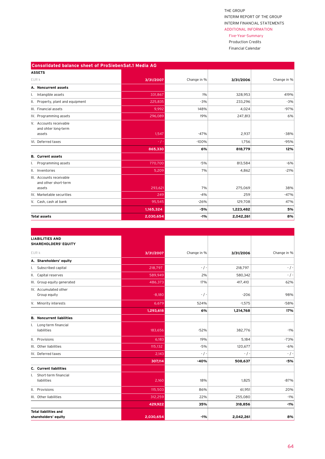### Five-Year-Summary

 Production Credits Financial Calendar

| Consolidated balance sheet of ProSiebenSat.1 Media AG |           |             |           |             |
|-------------------------------------------------------|-----------|-------------|-----------|-------------|
| <b>ASSETS</b>                                         |           |             |           |             |
| EUR k                                                 | 3/31/2007 | Change in % | 3/31/2006 | Change in % |
| A. Noncurrent assets                                  |           |             |           |             |
| Intangible assets<br>Ι.                               | 331,867   | 1%          | 328,953   | 419%        |
| II. Property, plant and equipment                     | 225,835   | $-3%$       | 233,296   | $-3%$       |
| III. Financial assets                                 | 9,992     | 148%        | 4,024     | $-97%$      |
| IV. Programming assets                                | 296,089   | 19%         | 247,813   | 6%          |
| V. Accounts receivable<br>and ohter long-term         |           |             |           |             |
| assets                                                | 1,547     | $-47%$      | 2,937     | $-38%$      |
| VI. Deferred taxes                                    | $-$ / $-$ | $-100%$     | 1,756     | $-95%$      |
|                                                       | 865,330   | 6%          | 818,779   | 12%         |
| <b>B.</b> Current assets                              |           |             |           |             |
| Programming assets                                    | 770,700   | $-5%$       | 813,584   | $-6%$       |
| II. Inventories                                       | 5,209     | 7%          | 4,862     | $-21%$      |
| III. Accounts receivable<br>and other short-term      |           |             |           |             |
| assets                                                | 293,621   | 7%          | 275,069   | 38%         |
| IV. Marketable securities                             | 249       | $-4%$       | 259       | $-47%$      |
| V. Cash, cash at bank                                 | 95,545    | $-26%$      | 129,708   | 47%         |
|                                                       | 1,165,324 | $-5%$       | 1,223,482 | 5%          |
| <b>Total assets</b>                                   | 2,030,654 | $-1%$       | 2,042,261 | 8%          |

| <b>LIABILITIES AND</b><br><b>SHAREHOLDERS' EQUITY</b> |           |             |           |             |
|-------------------------------------------------------|-----------|-------------|-----------|-------------|
| EUR k                                                 | 3/31/2007 | Change in % | 3/31/2006 | Change in % |
| A. Shareholders' equity                               |           |             |           |             |
| I. Subscribed capital                                 | 218,797   | $-$ / $-$   | 218,797   | $-$ / $-$   |
| II. Capital reserves                                  | 589,949   | 2%          | 580,342   | $-$ / $-$   |
| III. Group equity generated                           | 486,373   | 17%         | 417,410   | 62%         |
| IV. Accumulated other<br>Group equity                 | $-8,180$  | $-$ / $-$   | $-206$    | 98%         |
| V. Minority interests                                 | 6,679     | 524%        | $-1,575$  | $-58%$      |
|                                                       | 1,293,618 | 6%          | 1,214,768 | 17%         |
| <b>B.</b> Noncurrent liabilities                      |           |             |           |             |
| I. Long-term financial<br>liabilities                 | 183,656   | $-52%$      | 382,776   | $-1%$       |
| II. Provisions                                        | 6,183     | 19%         | 5,184     | $-73%$      |
| III. Other liabilities                                | 115,132   | $-5%$       | 120,677   | $-6%$       |
| IV. Deferred taxes                                    | 2,143     | $-$ / $-$   | $-$ / $-$ | $-$ / $-$   |
|                                                       | 307,114   | $-40%$      | 508,637   | $-5%$       |
| C. Current liabilities                                |           |             |           |             |
| I. Short-term financial<br>liabilities                | 2,160     | 18%         | 1,825     | $-87%$      |
| II. Provisions                                        | 115,503   | 86%         | 61,951    | 20%         |
| III. Other liabilities                                | 312,259   | 22%         | 255,080   | $-1%$       |
|                                                       | 429,922   | 35%         | 318,856   | $-1%$       |
| <b>Total liabilities and</b>                          |           |             |           |             |
| shareholders' equity                                  | 2,030,654 | $-1%$       | 2,042,261 | 8%          |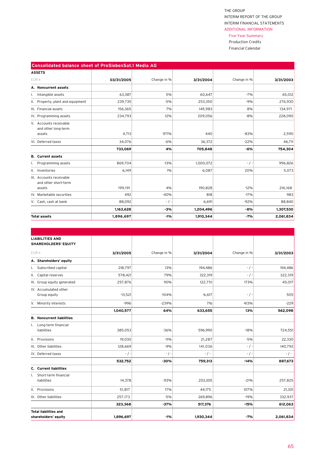#### Five-Year-Summary

 Production Credits Financial Calendar

| <b>Consolidated balance sheet of ProSiebenSat.1 Media AG</b> |            |             |           |             |           |  |  |  |
|--------------------------------------------------------------|------------|-------------|-----------|-------------|-----------|--|--|--|
| <b>ASSETS</b>                                                |            |             |           |             |           |  |  |  |
| EUR k                                                        | 03/31/2005 | Change in % | 3/31/2004 | Change in % | 3/31/2003 |  |  |  |
| A. Noncurrent assets                                         |            |             |           |             |           |  |  |  |
| Intangible assets<br>ı.                                      | 63,387     | 5%          | 60,647    | $-7%$       | 65,012    |  |  |  |
| II. Property, plant and equipment                            | 239,735    | $-5%$       | 253,350   | $-9%$       | 276,930   |  |  |  |
| III. Financial assets                                        | 156,365    | 7%          | 145,983   | 8%          | 134,971   |  |  |  |
| IV. Programming assets                                       | 234,793    | 12%         | 209,056   | $-8%$       | 228,090   |  |  |  |
| V. Accounts receivable<br>and other long-term                |            |             |           |             |           |  |  |  |
| assets                                                       | 4,713      | 971%        | 440       | $-83%$      | 2,590     |  |  |  |
| VI. Deferred taxes                                           | 34,076     | $-6%$       | 36,372    | $-22%$      | 46,711    |  |  |  |
|                                                              | 733,069    | 4%          | 705,848   | $-6%$       | 754,304   |  |  |  |
| <b>B.</b> Current assets                                     |            |             |           |             |           |  |  |  |
| Programming assets                                           | 869,704    | $-13%$      | 1,000,072 | $-$ / $-$   | 996,826   |  |  |  |
| II. Inventories                                              | 6,149      | 1%          | 6,087     | 20%         | 5,073     |  |  |  |
| III. Accounts receivable<br>and other short-term             |            |             |           |             |           |  |  |  |
| assets                                                       | 199,191    | 4%          | 190,828   | $-12%$      | 216,168   |  |  |  |
| IV. Marketable securities                                    | 492        | $-40%$      | 818       | $-17%$      | 983       |  |  |  |
| V. Cash, cash at bank                                        | 88,092     | $-$ / $-$   | 6,691     | $-92%$      | 88,840    |  |  |  |
|                                                              | 1,163,628  | $-3%$       | 1,204,496 | $-8%$       | 1,307,530 |  |  |  |
| <b>Total assets</b>                                          | 1,896,697  | $-1%$       | 1,910,344 | $-7%$       | 2,061,834 |  |  |  |

| <b>LIABILITIES AND</b><br><b>SHAREHOLDERS' EQUITY</b> |           |             |           |             |           |
|-------------------------------------------------------|-----------|-------------|-----------|-------------|-----------|
| EUR k                                                 | 3/31/2005 | Change in % | 3/31/2004 | Change in % | 3/31/2003 |
| A. Shareholders' equity                               |           |             |           |             |           |
| I. Subscribed capital                                 | 218,797   | 13%         | 194,486   | $-$ / $-$   | 194,486   |
| II. Capital reserves                                  | 578,421   | 79%         | 322,319   | $-$ / $-$   | 322,319   |
| III. Group equity generated                           | 257,876   | 110%        | 122,751   | 173%        | 45,017    |
| IV. Accumulated other<br>Group equity                 | $-13,521$ | $-104%$     | $-6,617$  | $-$ / $-$   | 505       |
| V. Minority interests                                 | $-996$    | $-239%$     | 716       | 413%        | $-229$    |
|                                                       | 1,040,577 | 64%         | 633,655   | 13%         | 562,098   |
| <b>B.</b> Noncurrent liabilities                      |           |             |           |             |           |
| I. Long-term financial<br>liabilities                 | 385,053   | $-36%$      | 596,990   | $-18%$      | 724,551   |
| II. Provisions                                        | 19,030    | $-11%$      | 21,287    | $-5%$       | 22,330    |
| III. Other liabilities                                | 128,669   | $-9%$       | 141,036   | $-$ / $-$   | 140,792   |
| IV. Deferred taxes                                    | $-$ / $-$ | $-$ / $-$   | $-$ / -   | - / -       | $-$ / $-$ |
|                                                       | 532,752   | $-30%$      | 759,313   | $-14%$      | 887,673   |
| C. Current liabilities                                |           |             |           |             |           |
| Short-term financial<br>Ι.<br>liabilities             | 14,378    | $-93%$      | 203,305   | $-21%$      | 257,825   |
| II. Provisions                                        | 51,817    | 17%         | 44,175    | 107%        | 21,301    |
| III. Other liabilities                                | 257,173   | $-5%$       | 269,896   | $-19%$      | 332,937   |
|                                                       | 323,368   | $-37%$      | 517,376   | $-15%$      | 612,063   |
| <b>Total liabilities and</b><br>shareholders' equity  | 1,896,697 | -1%         | 1,930,344 | -7%         | 2,061,834 |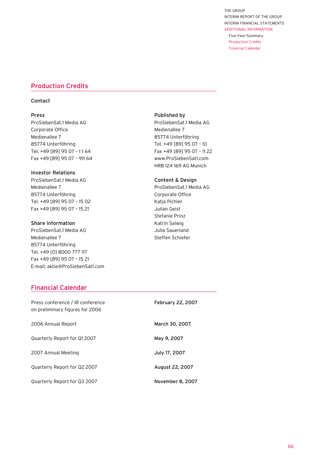Five-Year-Summary Production Credits Financial Calendar

## <span id="page-64-0"></span>Production Credits

## Contact

#### Press

ProSiebenSat.1 Media AG Corporate Office Medienallee 7 85774 Unterföhring Tel. +49 [89] 95 07 – 1 1 64 Fax +49 [89] 95 07 – 911 64

#### Investor Relations

ProSiebenSat.1 Media AG Medienallee 7 85774 Unterföhring Tel. +49 [89] 95 07 – 15 02 Fax +49 [89] 95 07 – 15 21

## Share Information

ProSiebenSat.1 Media AG Medienallee 7 85774 Unterföhring Tel. +49 [0] 8000 777 117 Fax +49 [89] 95 07 – 15 21 E-mail: aktie@ProSiebenSat1.com

## Published by

ProSiebenSat.1 Media AG Medienallee 7 85774 Unterföhring Tel. +49 [89] 95 07 – 10 Fax +49 [89] 95 07 – 11 22 www.ProSiebenSat1.com HRB 124 169 AG Munich

#### Content & Design

ProSiebenSat.1 Media AG Corporate Office Katja Pichler Julian Geist Stefanie Prinz Katrin Salwig Julia Sauerland Steffen Schiefer

## Financial Calendar

| Press conference / IR conference<br>on preliminary figures for 2006 | <b>February 22, 2007</b> |
|---------------------------------------------------------------------|--------------------------|
| 2006 Annual Report                                                  | March 30, 2007           |
| Quarterly Report for Q12007                                         | May 9, 2007              |
| 2007 Annual Meeting                                                 | July 17, 2007            |
| Quarterly Report for Q2 2007                                        | August 22, 2007          |
| Quarterly Report for Q3 2007                                        | November 8, 2007         |